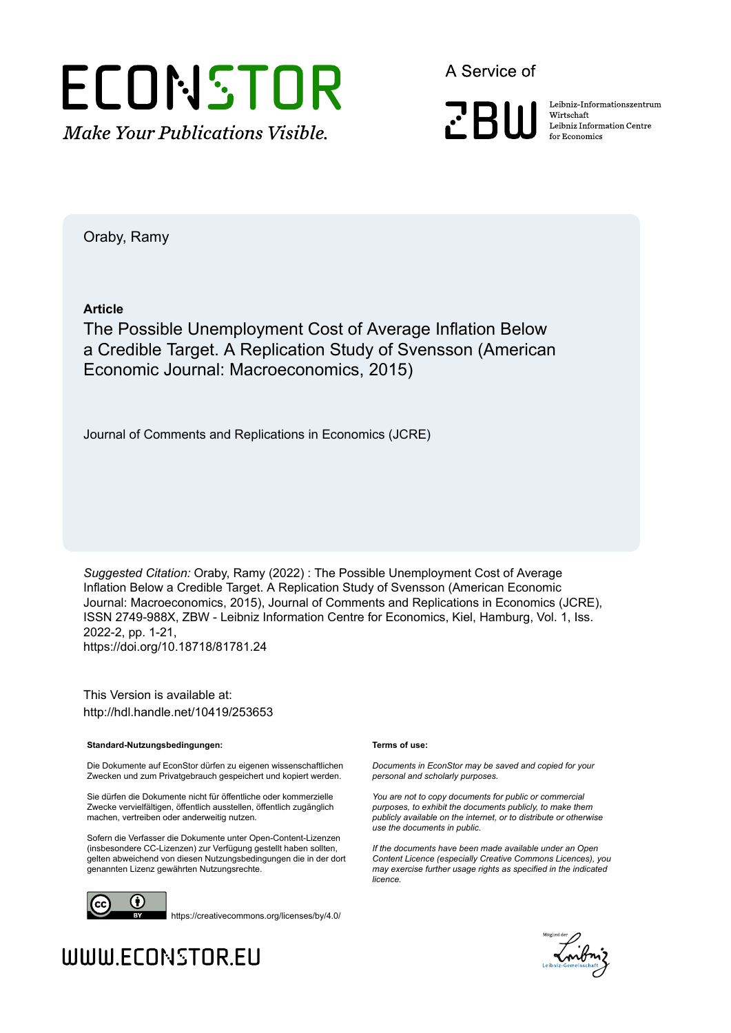

A Service of

**PRIII** 

Leibniz Informationszentrum Wirtschaft Leibniz Information Centre for Economics

Oraby, Ramy

**Article**

The Possible Unemployment Cost of Average Inflation Below a Credible Target. A Replication Study of Svensson (American Economic Journal: Macroeconomics, 2015)

Journal of Comments and Replications in Economics (JCRE)

*Suggested Citation:* Oraby, Ramy (2022) : The Possible Unemployment Cost of Average Inflation Below a Credible Target. A Replication Study of Svensson (American Economic Journal: Macroeconomics, 2015), Journal of Comments and Replications in Economics (JCRE), ISSN 2749-988X, ZBW - Leibniz Information Centre for Economics, Kiel, Hamburg, Vol. 1, Iss. 2022-2, pp. 1-21, https://doi.org/10.18718/81781.24

This Version is available at: http://hdl.handle.net/10419/253653

#### **Standard-Nutzungsbedingungen:**

Die Dokumente auf EconStor dürfen zu eigenen wissenschaftlichen Zwecken und zum Privatgebrauch gespeichert und kopiert werden.

Sie dürfen die Dokumente nicht für öffentliche oder kommerzielle Zwecke vervielfältigen, öffentlich ausstellen, öffentlich zugänglich machen, vertreiben oder anderweitig nutzen.

Sofern die Verfasser die Dokumente unter Open-Content-Lizenzen (insbesondere CC-Lizenzen) zur Verfügung gestellt haben sollten, gelten abweichend von diesen Nutzungsbedingungen die in der dort genannten Lizenz gewährten Nutzungsrechte.



https://creativecommons.org/licenses/by/4.0/

#### **Terms of use:**

*Documents in EconStor may be saved and copied for your personal and scholarly purposes.*

*You are not to copy documents for public or commercial purposes, to exhibit the documents publicly, to make them publicly available on the internet, or to distribute or otherwise use the documents in public.*

*If the documents have been made available under an Open Content Licence (especially Creative Commons Licences), you may exercise further usage rights as specified in the indicated licence.*



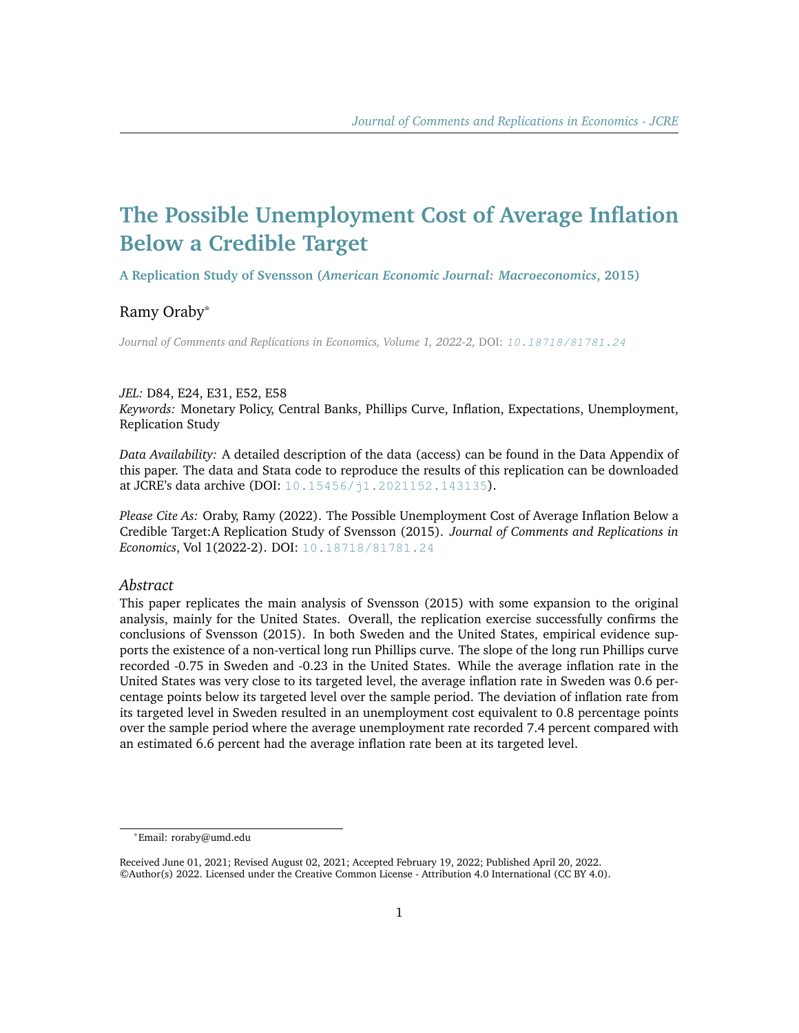# **The Possible Unemployment Cost of Average Inflation Below a Credible Target**

**A Replication Study of Svensson (***American Economic Journal: Macroeconomics***, 2015)**

# Ramy Oraby\*

*Journal of Comments and Replications in Economics, Volume 1, 2022-2,* DOI: [10.18718/81781.24](https://doi.org/10.18718/81781.24)

#### *JEL:* D84, E24, E31, E52, E58

*Keywords:* Monetary Policy, Central Banks, Phillips Curve, Inflation, Expectations, Unemployment, Replication Study

*Data Availability:* A detailed description of the data (access) can be found in the Data Appendix of this paper. The data and Stata code to reproduce the results of this replication can be downloaded at JCRE's data archive (DOI: [10.15456/j1.2021152.143135](http://dx.doi.org/10.15456/j1.2021152.143135)).

*Please Cite As:* Oraby, Ramy (2022). The Possible Unemployment Cost of Average Inflation Below a Credible Target:A Replication Study of Svensson (2015). *Journal of Comments and Replications in Economics*, Vol 1(2022-2). DOI: [10.18718/81781.24](https://doi.org/10.18718/81781.24)

#### *Abstract*

This paper replicates the main analysis of Svensson (2015) with some expansion to the original analysis, mainly for the United States. Overall, the replication exercise successfully confirms the conclusions of Svensson (2015). In both Sweden and the United States, empirical evidence supports the existence of a non-vertical long run Phillips curve. The slope of the long run Phillips curve recorded -0.75 in Sweden and -0.23 in the United States. While the average inflation rate in the United States was very close to its targeted level, the average inflation rate in Sweden was 0.6 percentage points below its targeted level over the sample period. The deviation of inflation rate from its targeted level in Sweden resulted in an unemployment cost equivalent to 0.8 percentage points over the sample period where the average unemployment rate recorded 7.4 percent compared with an estimated 6.6 percent had the average inflation rate been at its targeted level.

<sup>\*</sup>Email: roraby@umd.edu

Received June 01, 2021; Revised August 02, 2021; Accepted February 19, 2022; Published April 20, 2022. ©Author(s) 2022. Licensed under the Creative Common License - Attribution 4.0 International (CC BY 4.0).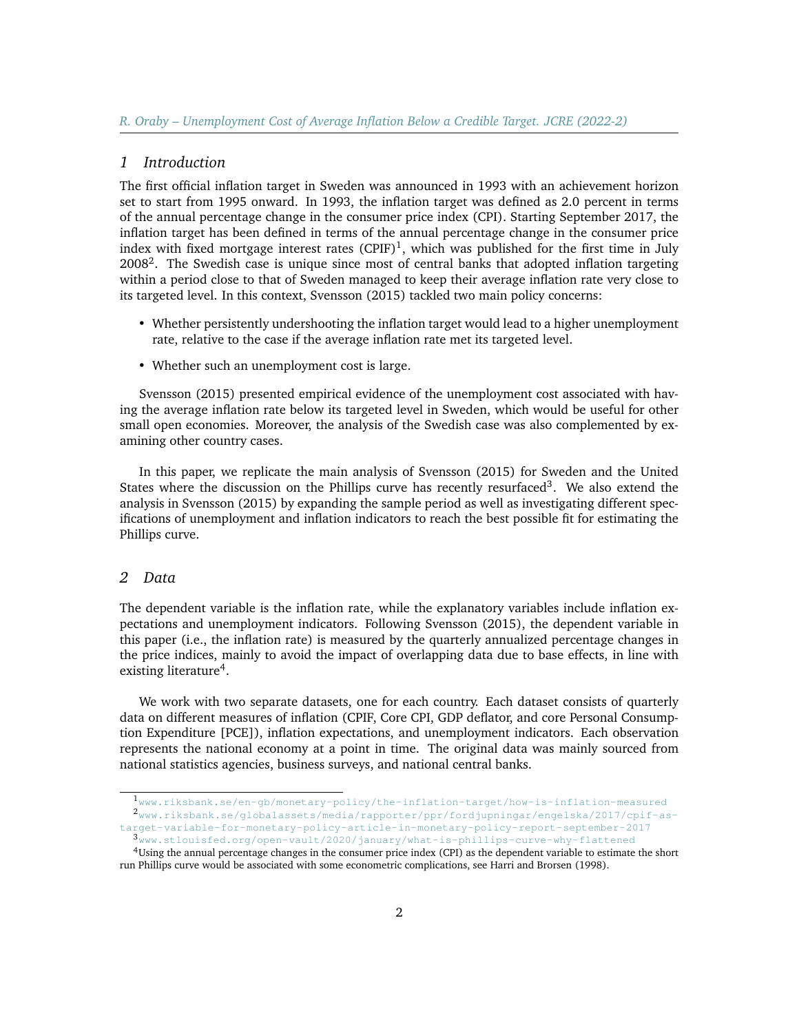#### *1 Introduction*

The first official inflation target in Sweden was announced in 1993 with an achievement horizon set to start from 1995 onward. In 1993, the inflation target was defined as 2.0 percent in terms of the annual percentage change in the consumer price index (CPI). Starting September 2017, the inflation target has been defined in terms of the annual percentage change in the consumer price index with fixed mortgage interest rates  $(CPIF)^1$  $(CPIF)^1$ , which was published for the first time in July  $2008<sup>2</sup>$  $2008<sup>2</sup>$ . The Swedish case is unique since most of central banks that adopted inflation targeting within a period close to that of Sweden managed to keep their average inflation rate very close to its targeted level. In this context, Svensson (2015) tackled two main policy concerns:

- Whether persistently undershooting the inflation target would lead to a higher unemployment rate, relative to the case if the average inflation rate met its targeted level.
- Whether such an unemployment cost is large.

Svensson (2015) presented empirical evidence of the unemployment cost associated with having the average inflation rate below its targeted level in Sweden, which would be useful for other small open economies. Moreover, the analysis of the Swedish case was also complemented by examining other country cases.

In this paper, we replicate the main analysis of Svensson (2015) for Sweden and the United States where the discussion on the Phillips curve has recently resurfaced<sup>[3](#page-2-2)</sup>. We also extend the analysis in Svensson (2015) by expanding the sample period as well as investigating different specifications of unemployment and inflation indicators to reach the best possible fit for estimating the Phillips curve.

#### *2 Data*

The dependent variable is the inflation rate, while the explanatory variables include inflation expectations and unemployment indicators. Following Svensson (2015), the dependent variable in this paper (i.e., the inflation rate) is measured by the quarterly annualized percentage changes in the price indices, mainly to avoid the impact of overlapping data due to base effects, in line with existing literature<sup>[4](#page-2-3)</sup>.

We work with two separate datasets, one for each country. Each dataset consists of quarterly data on different measures of inflation (CPIF, Core CPI, GDP deflator, and core Personal Consumption Expenditure [PCE]), inflation expectations, and unemployment indicators. Each observation represents the national economy at a point in time. The original data was mainly sourced from national statistics agencies, business surveys, and national central banks.

<span id="page-2-1"></span><span id="page-2-0"></span><sup>1</sup>[www.riksbank.se/en-gb/monetary-policy/the-inflation-target/how-is-inflation-measured](https://www.riksbank.se/en-gb/monetary-policy/the-inflation-target/how-is-inflation-measured/) <sup>2</sup>[www.riksbank.se/globalassets/media/rapporter/ppr/fordjupningar/engelska/2017/cpif-as](https://www.riksbank.se/globalassets/media/rapporter/ppr/fordjupningar/engelska/2017/cpif-as-target-variable-for-monetary-policy-article-in-monetary-policy-report-september-2017)[target-variable-for-monetary-policy-article-in-monetary-policy-report-september-2017](https://www.riksbank.se/globalassets/media/rapporter/ppr/fordjupningar/engelska/2017/cpif-as-target-variable-for-monetary-policy-article-in-monetary-policy-report-september-2017)

<span id="page-2-3"></span><span id="page-2-2"></span><sup>3</sup>[www.stlouisfed.org/open-vault/2020/january/what-is-phillips-curve-why-flattened](https://www.stlouisfed.org/open-vault/2020/january/what-is-phillips-curve-why-flattened /) <sup>4</sup>Using the annual percentage changes in the consumer price index (CPI) as the dependent variable to estimate the short run Phillips curve would be associated with some econometric complications, see Harri and Brorsen (1998).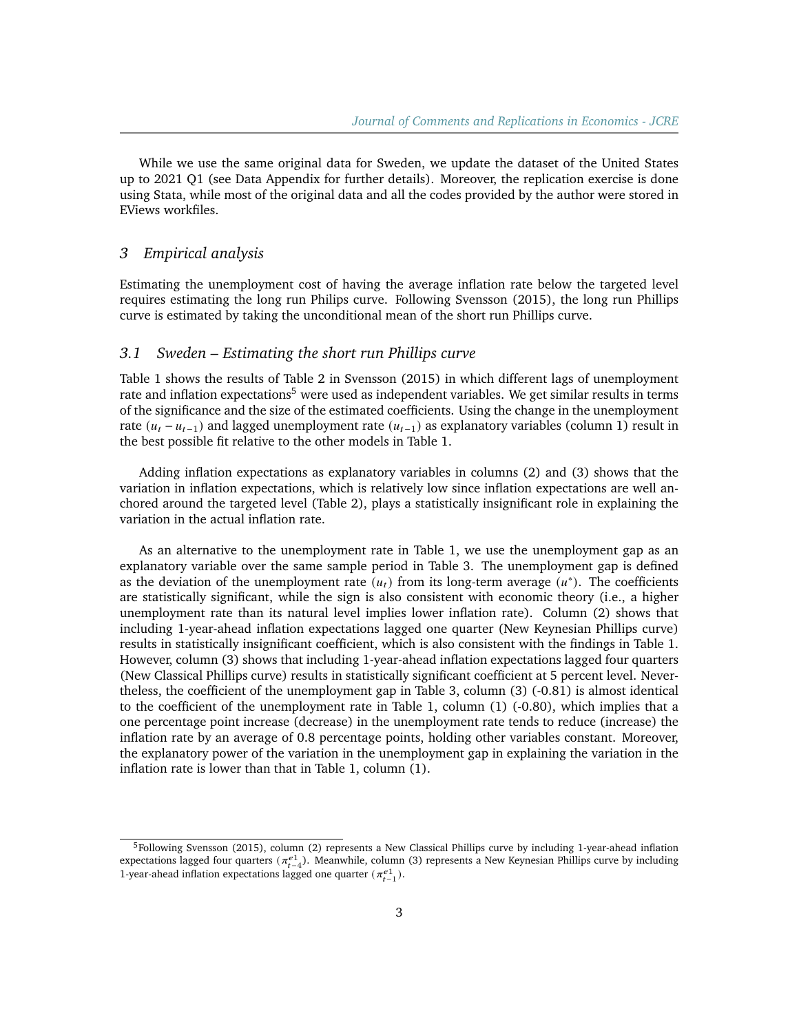While we use the same original data for Sweden, we update the dataset of the United States up to 2021 Q1 (see Data Appendix for further details). Moreover, the replication exercise is done using Stata, while most of the original data and all the codes provided by the author were stored in EViews workfiles.

### *3 Empirical analysis*

Estimating the unemployment cost of having the average inflation rate below the targeted level requires estimating the long run Philips curve. Following Svensson (2015), the long run Phillips curve is estimated by taking the unconditional mean of the short run Phillips curve.

#### *3.1 Sweden – Estimating the short run Phillips curve*

Table 1 shows the results of Table 2 in Svensson (2015) in which different lags of unemployment rate and inflation expectations<sup>[5](#page-3-0)</sup> were used as independent variables. We get similar results in terms of the significance and the size of the estimated coefficients. Using the change in the unemployment rate  $(u_t - u_{t-1})$  and lagged unemployment rate  $(u_{t-1})$  as explanatory variables (column 1) result in the best possible fit relative to the other models in Table 1.

Adding inflation expectations as explanatory variables in columns (2) and (3) shows that the variation in inflation expectations, which is relatively low since inflation expectations are well anchored around the targeted level (Table 2), plays a statistically insignificant role in explaining the variation in the actual inflation rate.

As an alternative to the unemployment rate in Table 1, we use the unemployment gap as an explanatory variable over the same sample period in Table 3. The unemployment gap is defined as the deviation of the unemployment rate  $(u_t)$  from its long-term average  $(u^*)$ . The coefficients are statistically significant, while the sign is also consistent with economic theory (i.e., a higher unemployment rate than its natural level implies lower inflation rate). Column (2) shows that including 1-year-ahead inflation expectations lagged one quarter (New Keynesian Phillips curve) results in statistically insignificant coefficient, which is also consistent with the findings in Table 1. However, column (3) shows that including 1-year-ahead inflation expectations lagged four quarters (New Classical Phillips curve) results in statistically significant coefficient at 5 percent level. Nevertheless, the coefficient of the unemployment gap in Table 3, column (3) (-0.81) is almost identical to the coefficient of the unemployment rate in Table 1, column (1) (-0.80), which implies that a one percentage point increase (decrease) in the unemployment rate tends to reduce (increase) the inflation rate by an average of 0.8 percentage points, holding other variables constant. Moreover, the explanatory power of the variation in the unemployment gap in explaining the variation in the inflation rate is lower than that in Table 1, column (1).

<span id="page-3-0"></span><sup>&</sup>lt;sup>5</sup>Following Svensson (2015), column (2) represents a New Classical Phillips curve by including 1-year-ahead inflation expectations lagged four quarters  $(\pi_{t-4}^{e_1})$ . Meanwhile, column (3) represents a New Keynesian Phillips curve by including 1-year-ahead inflation expectations lagged one quarter  $(\pi_{t-1}^{e1})$ .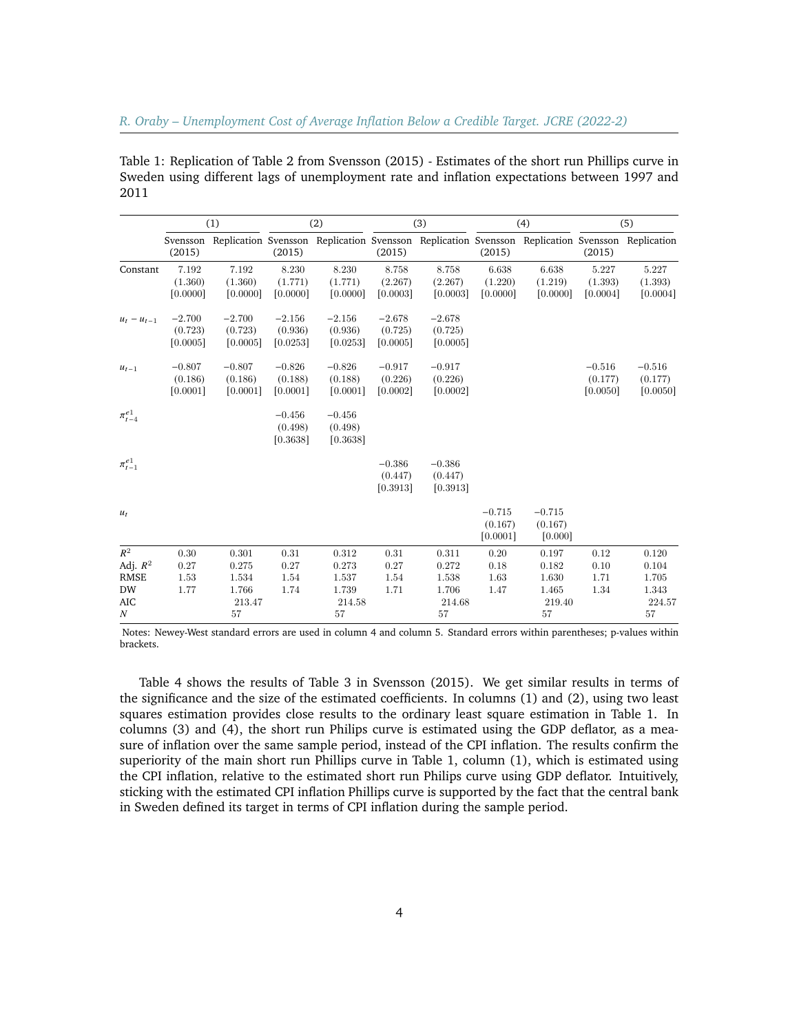|                  |                                 | (1)                             |                                 | (2)                             |                                 | (3)                                                                                             |                                 | (4)                            |                                 | (5)                             |
|------------------|---------------------------------|---------------------------------|---------------------------------|---------------------------------|---------------------------------|-------------------------------------------------------------------------------------------------|---------------------------------|--------------------------------|---------------------------------|---------------------------------|
|                  | Svensson<br>(2015)              |                                 | (2015)                          |                                 | (2015)                          | Replication Svensson Replication Svensson Replication Svensson Replication Svensson Replication | (2015)                          |                                | (2015)                          |                                 |
| Constant         | 7.192<br>(1.360)<br>[0.0000]    | 7.192<br>(1.360)<br>[0.0000]    | 8.230<br>(1.771)<br>[0.0000]    | 8.230<br>(1.771)<br>[0.0000]    | 8.758<br>(2.267)<br>[0.0003]    | 8.758<br>(2.267)<br>[0.0003]                                                                    | 6.638<br>(1.220)<br>[0.0000]    | 6.638<br>(1.219)<br>[0.0000]   | 5.227<br>(1.393)<br>[0.0004]    | 5.227<br>(1.393)<br>[0.0004]    |
| $u_t - u_{t-1}$  | $-2.700$<br>(0.723)<br>[0.0005] | $-2.700$<br>(0.723)<br>[0.0005] | $-2.156$<br>(0.936)<br>[0.0253] | $-2.156$<br>(0.936)<br>[0.0253] | $-2.678$<br>(0.725)<br>[0.0005] | $-2.678$<br>(0.725)<br>[0.0005]                                                                 |                                 |                                |                                 |                                 |
| $u_{t-1}$        | $-0.807$<br>(0.186)<br>[0.0001] | $-0.807$<br>(0.186)<br>[0.0001] | $-0.826$<br>(0.188)<br>[0.0001] | $-0.826$<br>(0.188)<br>[0.0001] | $-0.917$<br>(0.226)<br>[0.0002] | $-0.917$<br>(0.226)<br>[0.0002]                                                                 |                                 |                                | $-0.516$<br>(0.177)<br>[0.0050] | $-0.516$<br>(0.177)<br>[0.0050] |
| $\pi^{e1}_{t-4}$ |                                 |                                 | $-0.456$<br>(0.498)<br>[0.3638] | $-0.456$<br>(0.498)<br>[0.3638] |                                 |                                                                                                 |                                 |                                |                                 |                                 |
| $\pi^{e1}_{t-1}$ |                                 |                                 |                                 |                                 | $-0.386$<br>(0.447)<br>[0.3913] | $-0.386$<br>(0.447)<br>[0.3913]                                                                 |                                 |                                |                                 |                                 |
| $u_t$            |                                 |                                 |                                 |                                 |                                 |                                                                                                 | $-0.715$<br>(0.167)<br>[0.0001] | $-0.715$<br>(0.167)<br>[0.000] |                                 |                                 |
| $R^2$            | 0.30                            | 0.301                           | 0.31                            | 0.312                           | 0.31                            | 0.311                                                                                           | 0.20                            | 0.197                          | 0.12                            | 0.120                           |
| Adj. $R^2$       | 0.27                            | 0.275                           | 0.27                            | 0.273                           | 0.27                            | 0.272                                                                                           | 0.18                            | 0.182                          | 0.10                            | 0.104                           |
| <b>RMSE</b>      | 1.53                            | 1.534                           | 1.54                            | 1.537                           | 1.54                            | 1.538                                                                                           | 1.63                            | 1.630                          | 1.71                            | 1.705                           |
| <b>DW</b>        | 1.77                            | 1.766                           | 1.74                            | 1.739                           | 1.71                            | 1.706                                                                                           | 1.47                            | 1.465                          | 1.34                            | 1.343                           |
| <b>AIC</b>       |                                 | 213.47                          |                                 | 214.58                          |                                 | 214.68                                                                                          |                                 | 219.40                         |                                 | 224.57                          |
| $\cal N$         |                                 | 57                              |                                 | 57                              |                                 | 57                                                                                              |                                 | 57                             |                                 | 57                              |

Table 1: Replication of Table 2 from Svensson (2015) - Estimates of the short run Phillips curve in Sweden using different lags of unemployment rate and inflation expectations between 1997 and 2011

Notes: Newey-West standard errors are used in column 4 and column 5. Standard errors within parentheses; p-values within brackets.

Table 4 shows the results of Table 3 in Svensson (2015). We get similar results in terms of the significance and the size of the estimated coefficients. In columns (1) and (2), using two least squares estimation provides close results to the ordinary least square estimation in Table 1. In columns (3) and (4), the short run Philips curve is estimated using the GDP deflator, as a measure of inflation over the same sample period, instead of the CPI inflation. The results confirm the superiority of the main short run Phillips curve in Table 1, column (1), which is estimated using the CPI inflation, relative to the estimated short run Philips curve using GDP deflator. Intuitively, sticking with the estimated CPI inflation Phillips curve is supported by the fact that the central bank in Sweden defined its target in terms of CPI inflation during the sample period.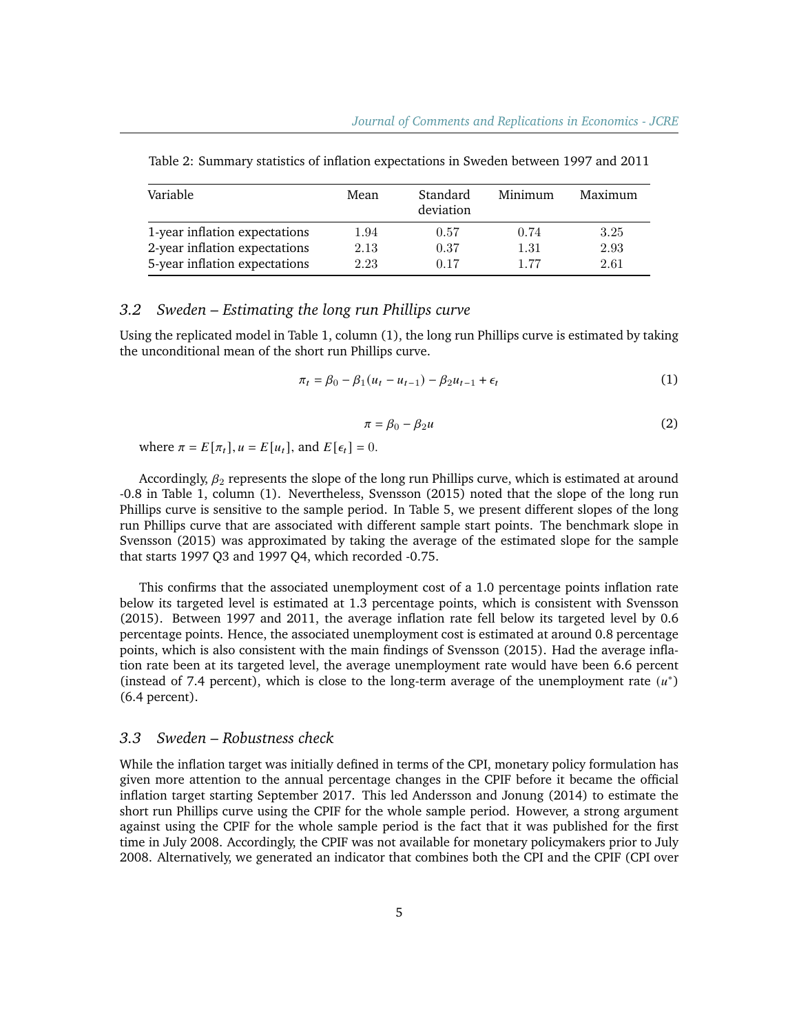| Variable                      | Mean | Standard<br>deviation | Minimum | Maximum |
|-------------------------------|------|-----------------------|---------|---------|
| 1-year inflation expectations | 1.94 | 0.57                  | 0.74    | 3.25    |
| 2-year inflation expectations | 2.13 | 0.37                  | 1.31    | 2.93    |
| 5-year inflation expectations | 2.23 | 0.17                  | 177     | 2.61    |

Table 2: Summary statistics of inflation expectations in Sweden between 1997 and 2011

#### *3.2 Sweden – Estimating the long run Phillips curve*

Using the replicated model in Table 1, column (1), the long run Phillips curve is estimated by taking the unconditional mean of the short run Phillips curve.

$$
\pi_t = \beta_0 - \beta_1 (u_t - u_{t-1}) - \beta_2 u_{t-1} + \epsilon_t \tag{1}
$$

$$
\pi = \beta_0 - \beta_2 u \tag{2}
$$

where  $\pi = E[\pi_t], u = E[u_t]$ , and  $E[\epsilon_t] = 0$ .

Accordingly,  $\beta_2$  represents the slope of the long run Phillips curve, which is estimated at around -0.8 in Table 1, column (1). Nevertheless, Svensson (2015) noted that the slope of the long run Phillips curve is sensitive to the sample period. In Table 5, we present different slopes of the long run Phillips curve that are associated with different sample start points. The benchmark slope in Svensson (2015) was approximated by taking the average of the estimated slope for the sample that starts 1997 Q3 and 1997 Q4, which recorded -0.75.

This confirms that the associated unemployment cost of a 1.0 percentage points inflation rate below its targeted level is estimated at 1.3 percentage points, which is consistent with Svensson (2015). Between 1997 and 2011, the average inflation rate fell below its targeted level by 0.6 percentage points. Hence, the associated unemployment cost is estimated at around 0.8 percentage points, which is also consistent with the main findings of Svensson (2015). Had the average inflation rate been at its targeted level, the average unemployment rate would have been 6.6 percent (instead of 7.4 percent), which is close to the long-term average of the unemployment rate  $(u^*)$ (6.4 percent).

### *3.3 Sweden – Robustness check*

While the inflation target was initially defined in terms of the CPI, monetary policy formulation has given more attention to the annual percentage changes in the CPIF before it became the official inflation target starting September 2017. This led Andersson and Jonung (2014) to estimate the short run Phillips curve using the CPIF for the whole sample period. However, a strong argument against using the CPIF for the whole sample period is the fact that it was published for the first time in July 2008. Accordingly, the CPIF was not available for monetary policymakers prior to July 2008. Alternatively, we generated an indicator that combines both the CPI and the CPIF (CPI over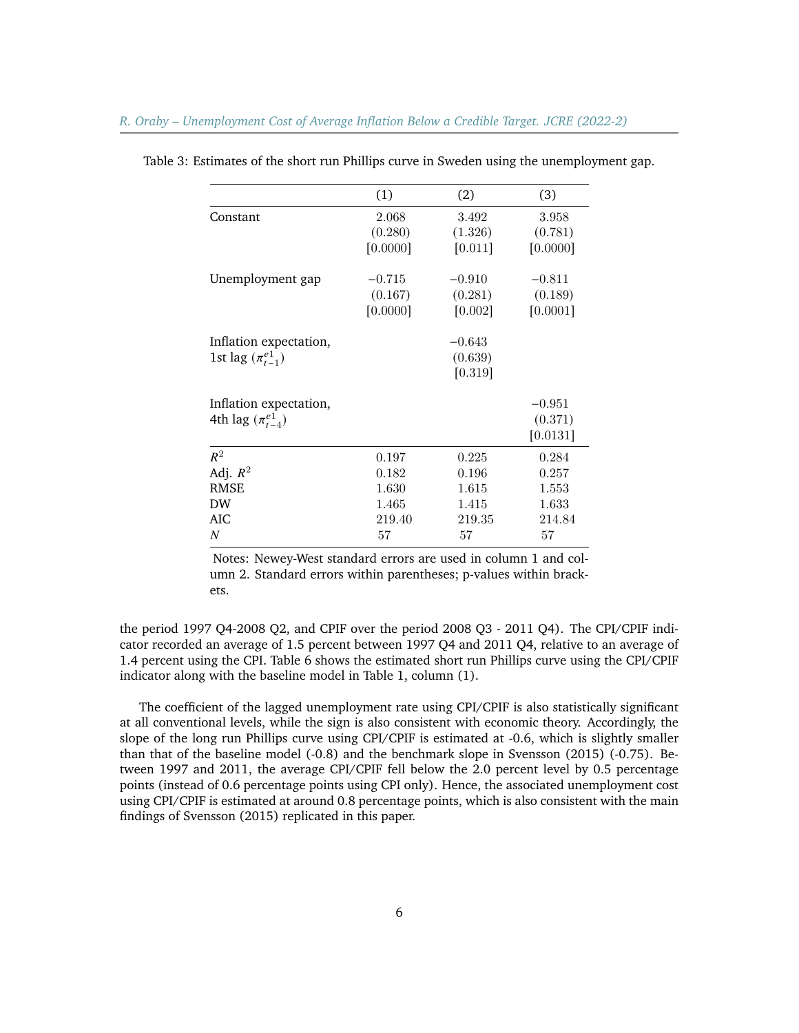|                            | (1)      | (2)        | (3)      |
|----------------------------|----------|------------|----------|
| Constant                   | 2.068    | 3.492      | 3.958    |
|                            | (0.280)  | (1.326)    | (0.781)  |
|                            | [0.0000] | [0.011]    | [0.0000] |
| Unemployment gap           | $-0.715$ | $-0.910$   | $-0.811$ |
|                            | (0.167)  | (0.281)    | (0.189)  |
|                            | [0.0000] | $[0.002]$  | [0.0001] |
| Inflation expectation,     |          | $-0.643$   |          |
| 1st lag $(\pi_{t-1}^{e1})$ |          | (0.639)    |          |
|                            |          | [0.319]    |          |
| Inflation expectation,     |          |            | $-0.951$ |
| 4th lag $(\pi^{e1}_{t-4})$ |          |            | (0.371)  |
|                            |          |            | [0.0131] |
| $R^2$                      | 0.197    | 0.225      | 0.284    |
| Adj. $R^2$                 | 0.182    | 0.196      | 0.257    |
| <b>RMSE</b>                | 1.630    | 1.615      | 1.553    |
| <b>DW</b>                  | 1.465    | 1.415      | 1.633    |
| AIC                        | 219.40   | $219.35\,$ | 214.84   |
| N                          | 57       | 57         | 57       |

Table 3: Estimates of the short run Phillips curve in Sweden using the unemployment gap.

Notes: Newey-West standard errors are used in column 1 and column 2. Standard errors within parentheses; p-values within brackets.

the period 1997 Q4-2008 Q2, and CPIF over the period 2008 Q3 - 2011 Q4). The CPI/CPIF indicator recorded an average of 1.5 percent between 1997 Q4 and 2011 Q4, relative to an average of 1.4 percent using the CPI. Table 6 shows the estimated short run Phillips curve using the CPI/CPIF indicator along with the baseline model in Table 1, column (1).

The coefficient of the lagged unemployment rate using CPI/CPIF is also statistically significant at all conventional levels, while the sign is also consistent with economic theory. Accordingly, the slope of the long run Phillips curve using CPI/CPIF is estimated at -0.6, which is slightly smaller than that of the baseline model (-0.8) and the benchmark slope in Svensson (2015) (-0.75). Between 1997 and 2011, the average CPI/CPIF fell below the 2.0 percent level by 0.5 percentage points (instead of 0.6 percentage points using CPI only). Hence, the associated unemployment cost using CPI/CPIF is estimated at around 0.8 percentage points, which is also consistent with the main findings of Svensson (2015) replicated in this paper.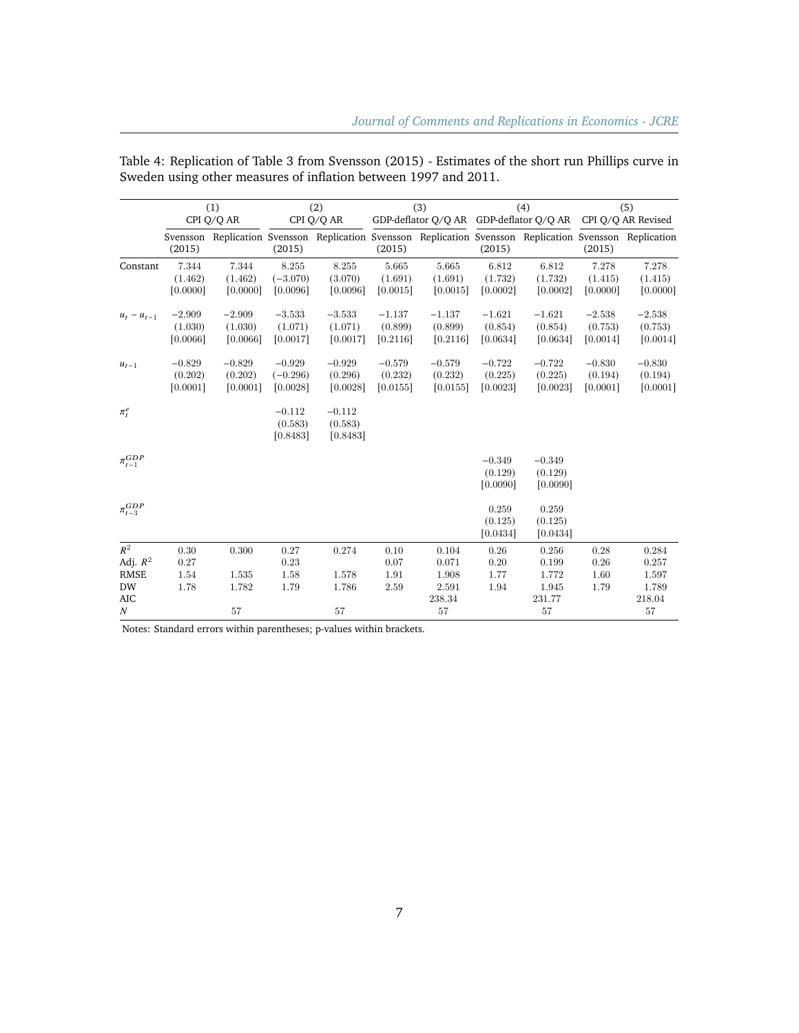|                   | (1)      |            | (2)        |            | (3)      |                                                                                                          | (4)      |          | (5)      |          |
|-------------------|----------|------------|------------|------------|----------|----------------------------------------------------------------------------------------------------------|----------|----------|----------|----------|
|                   |          | CPI Q/Q AR |            | CPI Q/Q AR |          | GDP-deflator Q/Q AR GDP-deflator Q/Q AR CPI Q/Q AR Revised                                               |          |          |          |          |
|                   | (2015)   |            | (2015)     |            | (2015)   | Svensson Replication Svensson Replication Svensson Replication Svensson Replication Svensson Replication | (2015)   |          | (2015)   |          |
| Constant          | 7.344    | 7.344      | 8.255      | 8.255      | 5.665    | 5.665                                                                                                    | 6.812    | 6.812    | 7.278    | 7.278    |
|                   | (1.462)  | (1.462)    | $(-3.070)$ | (3.070)    | (1.691)  | (1.691)                                                                                                  | (1.732)  | (1.732)  | (1.415)  | (1.415)  |
|                   | [0.0000] | [0.0000]   | [0.0096]   | [0.0096]   | [0.0015] | [0.0015]                                                                                                 | [0.0002] | [0.0002] | [0.0000] | [0.0000] |
| $u_t - u_{t-1}$   | $-2.909$ | $-2.909$   | $-3.533$   | $-3.533$   | $-1.137$ | $-1.137$                                                                                                 | $-1.621$ | $-1.621$ | $-2.538$ | $-2.538$ |
|                   | (1.030)  | (1.030)    | (1.071)    | (1.071)    | (0.899)  | (0.899)                                                                                                  | (0.854)  | (0.854)  | (0.753)  | (0.753)  |
|                   | [0.0066] | [0.0066]   | [0.0017]   | [0.0017]   | [0.2116] | [0.2116]                                                                                                 | [0.0634] | [0.0634] | [0.0014] | [0.0014] |
| $u_{t-1}$         | $-0.829$ | $-0.829$   | $-0.929$   | $-0.929$   | $-0.579$ | $-0.579$                                                                                                 | $-0.722$ | $-0.722$ | $-0.830$ | $-0.830$ |
|                   | (0.202)  | (0.202)    | $(-0.296)$ | (0.296)    | (0.232)  | (0.232)                                                                                                  | (0.225)  | (0.225)  | (0.194)  | (0.194)  |
|                   | [0.0001] | [0.0001]   | [0.0028]   | [0.0028]   | [0.0155] | [0.0155]                                                                                                 | [0.0023] | [0.0023] | [0.0001] | [0.0001] |
| $\pi_t^e$         |          |            | $-0.112$   | $-0.112$   |          |                                                                                                          |          |          |          |          |
|                   |          |            | (0.583)    | (0.583)    |          |                                                                                                          |          |          |          |          |
|                   |          |            | [0.8483]   | [0.8483]   |          |                                                                                                          |          |          |          |          |
| $\pi_{t-1}^{GDP}$ |          |            |            |            |          |                                                                                                          | $-0.349$ | $-0.349$ |          |          |
|                   |          |            |            |            |          |                                                                                                          | (0.129)  | (0.129)  |          |          |
|                   |          |            |            |            |          |                                                                                                          | [0.0090] | [0.0090] |          |          |
| $\pi_{t-3}^{GDP}$ |          |            |            |            |          |                                                                                                          | 0.259    | 0.259    |          |          |
|                   |          |            |            |            |          |                                                                                                          | (0.125)  | (0.125)  |          |          |
|                   |          |            |            |            |          |                                                                                                          | [0.0434] | [0.0434] |          |          |
| $R^2$             | 0.30     | 0.300      | 0.27       | 0.274      | 0.10     | 0.104                                                                                                    | 0.26     | 0.256    | 0.28     | 0.284    |
| Adj. $R^2$        | 0.27     |            | 0.23       |            | 0.07     | 0.071                                                                                                    | 0.20     | 0.199    | 0.26     | 0.257    |
| <b>RMSE</b>       | 1.54     | 1.535      | 1.58       | 1.578      | 1.91     | 1.908                                                                                                    | 1.77     | 1.772    | 1.60     | 1.597    |
| <b>DW</b>         | 1.78     | 1.782      | 1.79       | 1.786      | 2.59     | 2.591                                                                                                    | 1.94     | 1.945    | 1.79     | 1.789    |
| AIC               |          |            |            |            |          | 238.34                                                                                                   |          | 231.77   |          | 218.04   |
| $\boldsymbol{N}$  |          | 57         |            | 57         |          | 57                                                                                                       |          | 57       |          | 57       |

Table 4: Replication of Table 3 from Svensson (2015) - Estimates of the short run Phillips curve in Sweden using other measures of inflation between 1997 and 2011.

Notes: Standard errors within parentheses; p-values within brackets.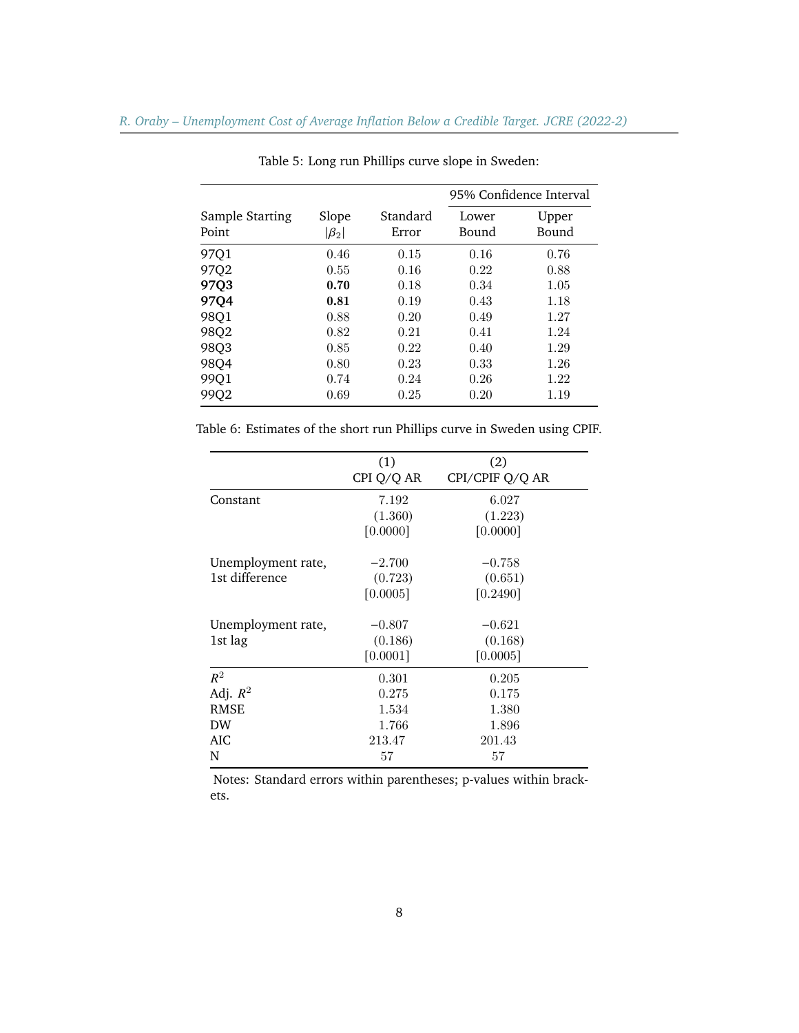|                          |                      |                   | 95% Confidence Interval |                |  |  |  |
|--------------------------|----------------------|-------------------|-------------------------|----------------|--|--|--|
| Sample Starting<br>Point | Slope<br>$ \beta_2 $ | Standard<br>Error | Lower<br>Bound          | Upper<br>Bound |  |  |  |
| 97Q1                     | 0.46                 | 0.15              | 0.16                    | 0.76           |  |  |  |
| 97Q2                     | 0.55                 | 0.16              | 0.22                    | 0.88           |  |  |  |
| 97Q3                     | 0.70                 | 0.18              | 0.34                    | 1.05           |  |  |  |
| 97Q4                     | 0.81                 | 0.19              | 0.43                    | 1.18           |  |  |  |
| 98Q1                     | 0.88                 | 0.20              | 0.49                    | 1.27           |  |  |  |
| 98Q2                     | 0.82                 | 0.21              | 0.41                    | 1.24           |  |  |  |
| 98Q3                     | 0.85                 | 0.22              | 0.40                    | 1.29           |  |  |  |
| 98Q4                     | 0.80                 | 0.23              | 0.33                    | 1.26           |  |  |  |
| 99Q1                     | 0.74                 | 0.24              | 0.26                    | 1.22           |  |  |  |
| 99Q2                     | 0.69                 | 0.25              | 0.20                    | 1.19           |  |  |  |

Table 5: Long run Phillips curve slope in Sweden:

Table 6: Estimates of the short run Phillips curve in Sweden using CPIF.

|                    | (1)<br>CPI Q/Q AR | (2)<br>CPI/CPIF Q/Q AR |
|--------------------|-------------------|------------------------|
|                    |                   |                        |
| Constant           | 7.192             | 6.027                  |
|                    | (1.360)           | (1.223)                |
|                    | [0.0000]          | [0.0000]               |
| Unemployment rate, | $-2.700$          | $-0.758$               |
| 1st difference     | (0.723)           | (0.651)                |
|                    | [0.0005]          | [0.2490]               |
| Unemployment rate, | $-0.807$          | $-0.621$               |
| 1st lag            | (0.186)           | (0.168)                |
|                    | [0.0001]          | [0.0005]               |
| $R^2$              | 0.301             | 0.205                  |
| Adj. $R^2$         | 0.275             | 0.175                  |
| <b>RMSE</b>        | 1.534             | 1.380                  |
| <b>DW</b>          | 1.766             | 1.896                  |
| AIC                | 213.47            | 201.43                 |
| N                  | 57                | 57                     |

Notes: Standard errors within parentheses; p-values within brackets.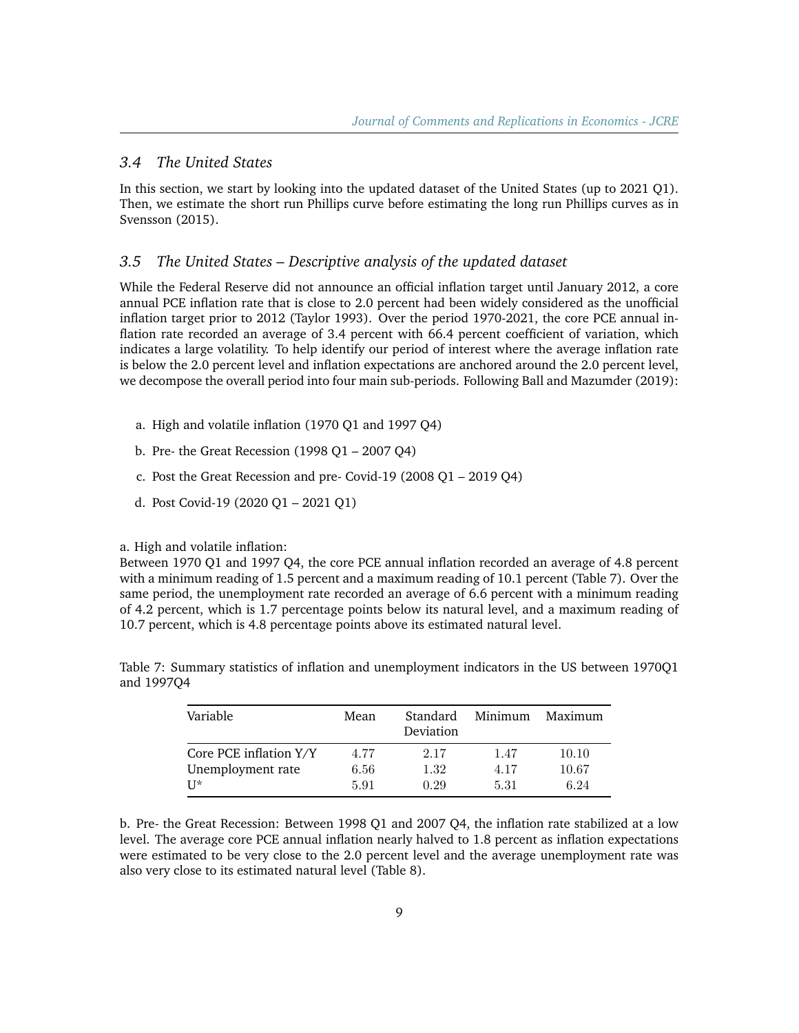#### *3.4 The United States*

In this section, we start by looking into the updated dataset of the United States (up to 2021 Q1). Then, we estimate the short run Phillips curve before estimating the long run Phillips curves as in Svensson (2015).

#### *3.5 The United States – Descriptive analysis of the updated dataset*

While the Federal Reserve did not announce an official inflation target until January 2012, a core annual PCE inflation rate that is close to 2.0 percent had been widely considered as the unofficial inflation target prior to 2012 (Taylor 1993). Over the period 1970-2021, the core PCE annual inflation rate recorded an average of 3.4 percent with 66.4 percent coefficient of variation, which indicates a large volatility. To help identify our period of interest where the average inflation rate is below the 2.0 percent level and inflation expectations are anchored around the 2.0 percent level, we decompose the overall period into four main sub-periods. Following Ball and Mazumder (2019):

- a. High and volatile inflation (1970 Q1 and 1997 Q4)
- b. Pre- the Great Recession (1998 Q1 2007 Q4)
- c. Post the Great Recession and pre- Covid-19 (2008 Q1 2019 Q4)
- d. Post Covid-19 (2020 Q1 2021 Q1)

#### a. High and volatile inflation:

Between 1970 Q1 and 1997 Q4, the core PCE annual inflation recorded an average of 4.8 percent with a minimum reading of 1.5 percent and a maximum reading of 10.1 percent (Table 7). Over the same period, the unemployment rate recorded an average of 6.6 percent with a minimum reading of 4.2 percent, which is 1.7 percentage points below its natural level, and a maximum reading of 10.7 percent, which is 4.8 percentage points above its estimated natural level.

| Variable               | Mean | Standard<br>Deviation | Minimum | Maximum |
|------------------------|------|-----------------------|---------|---------|
| Core PCE inflation Y/Y | 4.77 | 2.17                  | 1.47    | 10.10   |
| Unemployment rate      | 6.56 | 1.32                  | 4.17    | 10.67   |
| $II*$                  | 5.91 | 0.29                  | 5.31    | 6.24    |

Table 7: Summary statistics of inflation and unemployment indicators in the US between 1970Q1 and 1997Q4

b. Pre- the Great Recession: Between 1998 Q1 and 2007 Q4, the inflation rate stabilized at a low level. The average core PCE annual inflation nearly halved to 1.8 percent as inflation expectations were estimated to be very close to the 2.0 percent level and the average unemployment rate was also very close to its estimated natural level (Table 8).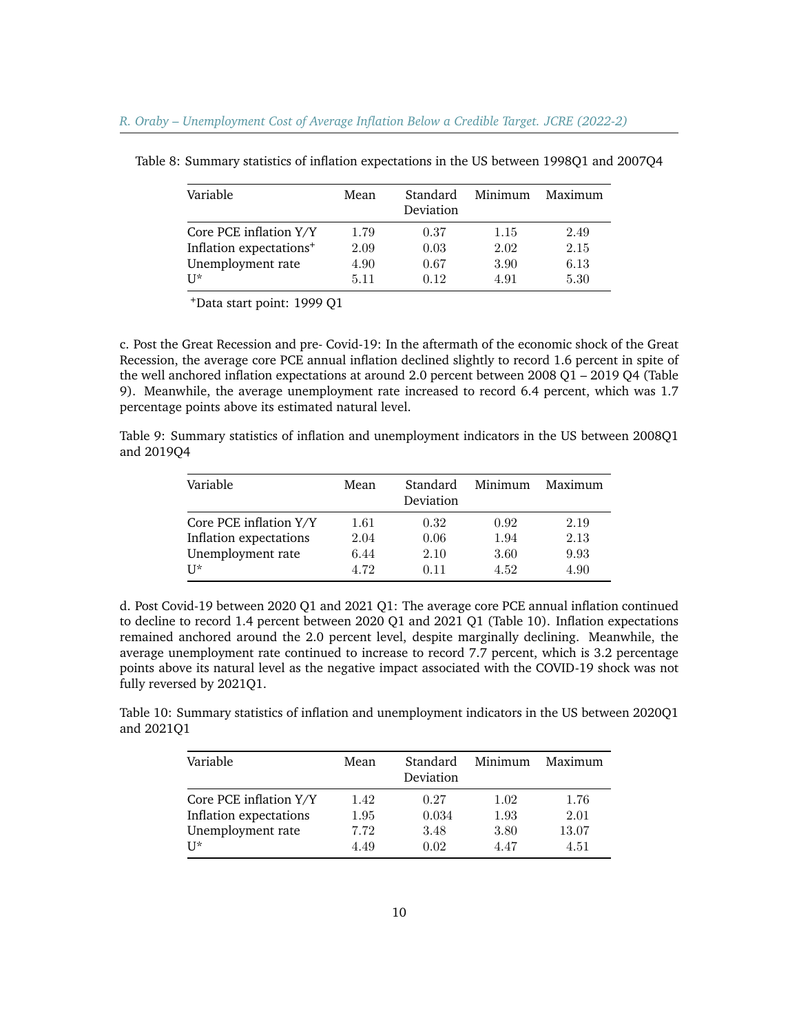| Variable                            | Mean | Standard<br>Deviation | Minimum | Maximum |
|-------------------------------------|------|-----------------------|---------|---------|
| Core PCE inflation Y/Y              | 1.79 | 0.37                  | 1.15    | 2.49    |
| Inflation expectations <sup>+</sup> | 2.09 | 0.03                  | 2.02    | 2.15    |
| Unemployment rate                   | 4.90 | 0.67                  | 3.90    | 6.13    |
| $II*$                               | 5.11 | 0.12                  | 4.91    | 5.30    |

Table 8: Summary statistics of inflation expectations in the US between 1998Q1 and 2007Q4

<sup>+</sup>Data start point: 1999 Q1

c. Post the Great Recession and pre- Covid-19: In the aftermath of the economic shock of the Great Recession, the average core PCE annual inflation declined slightly to record 1.6 percent in spite of the well anchored inflation expectations at around 2.0 percent between 2008 Q1 – 2019 Q4 (Table 9). Meanwhile, the average unemployment rate increased to record 6.4 percent, which was 1.7 percentage points above its estimated natural level.

Table 9: Summary statistics of inflation and unemployment indicators in the US between 2008Q1 and 2019Q4

| Variable               | Mean | Standard<br>Deviation | Minimum | Maximum |
|------------------------|------|-----------------------|---------|---------|
| Core PCE inflation Y/Y | 1.61 | 0.32                  | 0.92    | 2.19    |
| Inflation expectations | 2.04 | 0.06                  | 1.94    | 2.13    |
| Unemployment rate      | 6.44 | 2.10                  | 3.60    | 9.93    |
| $II^*$                 | 4.72 | 0.11                  | 4.52    | 4.90    |

d. Post Covid-19 between 2020 Q1 and 2021 Q1: The average core PCE annual inflation continued to decline to record 1.4 percent between 2020 Q1 and 2021 Q1 (Table 10). Inflation expectations remained anchored around the 2.0 percent level, despite marginally declining. Meanwhile, the average unemployment rate continued to increase to record 7.7 percent, which is 3.2 percentage points above its natural level as the negative impact associated with the COVID-19 shock was not fully reversed by 2021Q1.

Table 10: Summary statistics of inflation and unemployment indicators in the US between 2020Q1 and 2021Q1

| Variable               | Mean | Standard<br>Deviation | Minimum | Maximum |
|------------------------|------|-----------------------|---------|---------|
| Core PCE inflation Y/Y | 1.42 | 0.27                  | 1.02    | 1.76    |
| Inflation expectations | 1.95 | 0.034                 | 1.93    | 2.01    |
| Unemployment rate      | 7.72 | 3.48                  | 3.80    | 13.07   |
| $II*$                  | 4.49 | 0.02                  | 4.47    | 4.51    |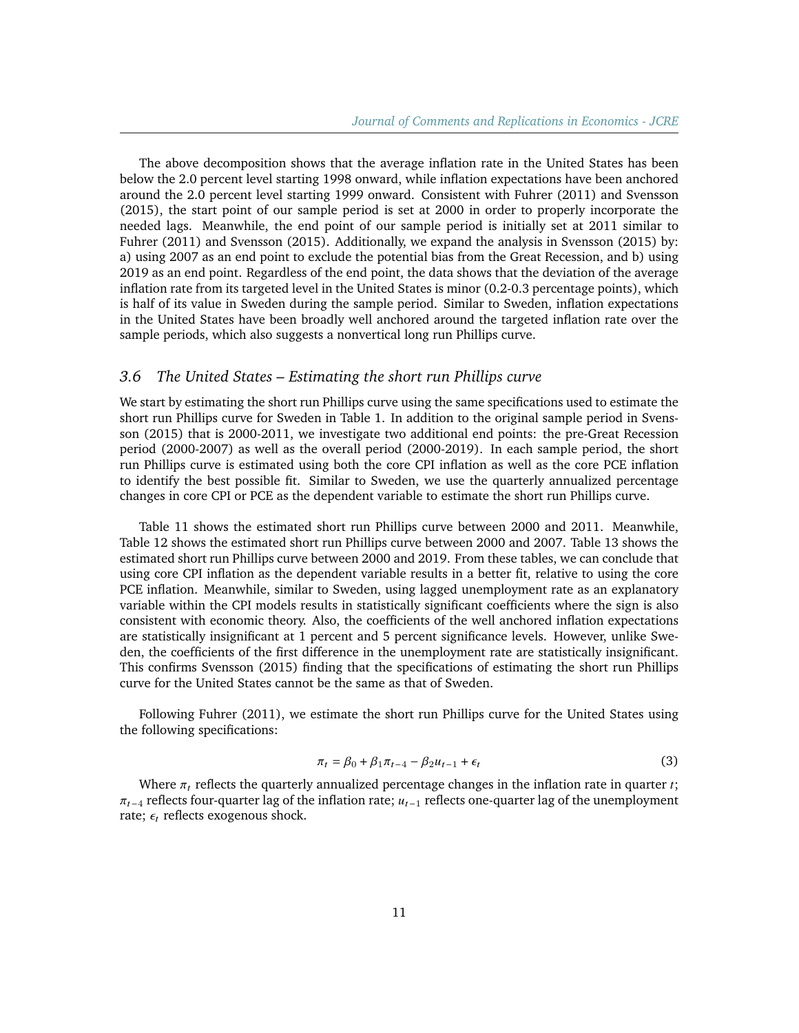The above decomposition shows that the average inflation rate in the United States has been below the 2.0 percent level starting 1998 onward, while inflation expectations have been anchored around the 2.0 percent level starting 1999 onward. Consistent with Fuhrer (2011) and Svensson (2015), the start point of our sample period is set at 2000 in order to properly incorporate the needed lags. Meanwhile, the end point of our sample period is initially set at 2011 similar to Fuhrer (2011) and Svensson (2015). Additionally, we expand the analysis in Svensson (2015) by: a) using 2007 as an end point to exclude the potential bias from the Great Recession, and b) using 2019 as an end point. Regardless of the end point, the data shows that the deviation of the average inflation rate from its targeted level in the United States is minor (0.2-0.3 percentage points), which is half of its value in Sweden during the sample period. Similar to Sweden, inflation expectations in the United States have been broadly well anchored around the targeted inflation rate over the sample periods, which also suggests a nonvertical long run Phillips curve.

## *3.6 The United States – Estimating the short run Phillips curve*

We start by estimating the short run Phillips curve using the same specifications used to estimate the short run Phillips curve for Sweden in Table 1. In addition to the original sample period in Svensson (2015) that is 2000-2011, we investigate two additional end points: the pre-Great Recession period (2000-2007) as well as the overall period (2000-2019). In each sample period, the short run Phillips curve is estimated using both the core CPI inflation as well as the core PCE inflation to identify the best possible fit. Similar to Sweden, we use the quarterly annualized percentage changes in core CPI or PCE as the dependent variable to estimate the short run Phillips curve.

Table 11 shows the estimated short run Phillips curve between 2000 and 2011. Meanwhile, Table 12 shows the estimated short run Phillips curve between 2000 and 2007. Table 13 shows the estimated short run Phillips curve between 2000 and 2019. From these tables, we can conclude that using core CPI inflation as the dependent variable results in a better fit, relative to using the core PCE inflation. Meanwhile, similar to Sweden, using lagged unemployment rate as an explanatory variable within the CPI models results in statistically significant coefficients where the sign is also consistent with economic theory. Also, the coefficients of the well anchored inflation expectations are statistically insignificant at 1 percent and 5 percent significance levels. However, unlike Sweden, the coefficients of the first difference in the unemployment rate are statistically insignificant. This confirms Svensson (2015) finding that the specifications of estimating the short run Phillips curve for the United States cannot be the same as that of Sweden.

Following Fuhrer (2011), we estimate the short run Phillips curve for the United States using the following specifications:

$$
\pi_t = \beta_0 + \beta_1 \pi_{t-4} - \beta_2 u_{t-1} + \epsilon_t \tag{3}
$$

Where  $\pi_t$  reflects the quarterly annualized percentage changes in the inflation rate in quarter  $t$ ;  $\pi_{t-4}$  reflects four-quarter lag of the inflation rate;  $u_{t-1}$  reflects one-quarter lag of the unemployment rate;  $\epsilon_t$  reflects exogenous shock.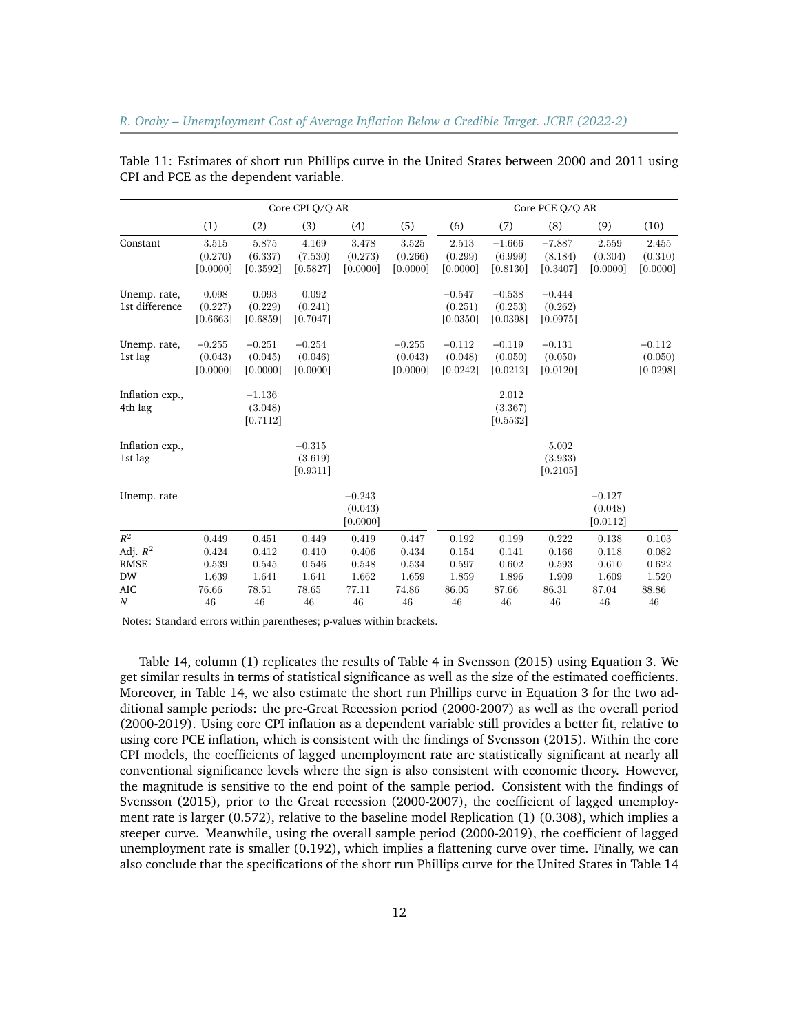|                                |                                 | Core CPI Q/Q AR                 |                                 |                                 |                                 |                                 | Core PCE Q/Q AR                 |                                 |                                 |                                 |  |
|--------------------------------|---------------------------------|---------------------------------|---------------------------------|---------------------------------|---------------------------------|---------------------------------|---------------------------------|---------------------------------|---------------------------------|---------------------------------|--|
|                                | (1)                             | (2)                             | (3)                             | (4)                             | (5)                             | (6)                             | (7)                             | (8)                             | (9)                             | (10)                            |  |
| Constant                       | 3.515<br>(0.270)<br>[0.0000]    | 5.875<br>(6.337)<br>[0.3592]    | 4.169<br>(7.530)<br>[0.5827]    | 3.478<br>(0.273)<br>[0.0000]    | 3.525<br>(0.266)<br>[0.0000]    | 2.513<br>(0.299)<br>[0.0000]    | $-1.666$<br>(6.999)<br>[0.8130] | $-7.887$<br>(8.184)<br>[0.3407] | 2.559<br>(0.304)<br>[0.0000]    | 2.455<br>(0.310)<br>[0.0000]    |  |
| Unemp. rate,<br>1st difference | 0.098<br>(0.227)<br>[0.6663]    | 0.093<br>(0.229)<br>[0.6859]    | 0.092<br>(0.241)<br>[0.7047]    |                                 |                                 | $-0.547$<br>(0.251)<br>[0.0350] | $-0.538$<br>(0.253)<br>[0.0398] | $-0.444$<br>(0.262)<br>[0.0975] |                                 |                                 |  |
| Unemp. rate,<br>1st lag        | $-0.255$<br>(0.043)<br>[0.0000] | $-0.251$<br>(0.045)<br>[0.0000] | $-0.254$<br>(0.046)<br>[0.0000] |                                 | $-0.255$<br>(0.043)<br>[0.0000] | $-0.112$<br>(0.048)<br>[0.0242] | $-0.119$<br>(0.050)<br>[0.0212] | $-0.131$<br>(0.050)<br>[0.0120] |                                 | $-0.112$<br>(0.050)<br>[0.0298] |  |
| Inflation exp.,<br>4th lag     |                                 | $-1.136$<br>(3.048)<br>[0.7112] |                                 |                                 |                                 |                                 | 2.012<br>(3.367)<br>[0.5532]    |                                 |                                 |                                 |  |
| Inflation exp.,<br>1st lag     |                                 |                                 | $-0.315$<br>(3.619)<br>[0.9311] |                                 |                                 |                                 |                                 | 5.002<br>(3.933)<br>[0.2105]    |                                 |                                 |  |
| Unemp. rate                    |                                 |                                 |                                 | $-0.243$<br>(0.043)<br>[0.0000] |                                 |                                 |                                 |                                 | $-0.127$<br>(0.048)<br>[0.0112] |                                 |  |
| $R^2$                          | 0.449                           | 0.451                           | 0.449                           | 0.419                           | 0.447                           | 0.192                           | 0.199                           | 0.222                           | 0.138                           | 0.103                           |  |
| Adj. $R^2$                     | 0.424                           | 0.412                           | 0.410                           | 0.406                           | 0.434                           | 0.154                           | 0.141                           | 0.166                           | 0.118                           | 0.082                           |  |
| <b>RMSE</b>                    | 0.539                           | 0.545                           | 0.546                           | 0.548                           | 0.534                           | 0.597                           | 0.602                           | 0.593                           | 0.610                           | 0.622                           |  |
| <b>DW</b>                      | 1.639                           | 1.641                           | 1.641                           | 1.662                           | 1.659                           | 1.859                           | 1.896                           | 1.909                           | 1.609                           | 1.520                           |  |
| <b>AIC</b><br>$\boldsymbol{N}$ | 76.66<br>46                     | 78.51<br>46                     | 78.65<br>46                     | 77.11<br>46                     | 74.86<br>46                     | 86.05<br>46                     | 87.66<br>46                     | 86.31<br>46                     | 87.04<br>46                     | 88.86<br>46                     |  |

Table 11: Estimates of short run Phillips curve in the United States between 2000 and 2011 using CPI and PCE as the dependent variable.

Notes: Standard errors within parentheses; p-values within brackets.

Table 14, column (1) replicates the results of Table 4 in Svensson (2015) using Equation 3. We get similar results in terms of statistical significance as well as the size of the estimated coefficients. Moreover, in Table 14, we also estimate the short run Phillips curve in Equation 3 for the two additional sample periods: the pre-Great Recession period (2000-2007) as well as the overall period (2000-2019). Using core CPI inflation as a dependent variable still provides a better fit, relative to using core PCE inflation, which is consistent with the findings of Svensson (2015). Within the core CPI models, the coefficients of lagged unemployment rate are statistically significant at nearly all conventional significance levels where the sign is also consistent with economic theory. However, the magnitude is sensitive to the end point of the sample period. Consistent with the findings of Svensson (2015), prior to the Great recession (2000-2007), the coefficient of lagged unemployment rate is larger (0.572), relative to the baseline model Replication (1) (0.308), which implies a steeper curve. Meanwhile, using the overall sample period (2000-2019), the coefficient of lagged unemployment rate is smaller (0.192), which implies a flattening curve over time. Finally, we can also conclude that the specifications of the short run Phillips curve for the United States in Table 14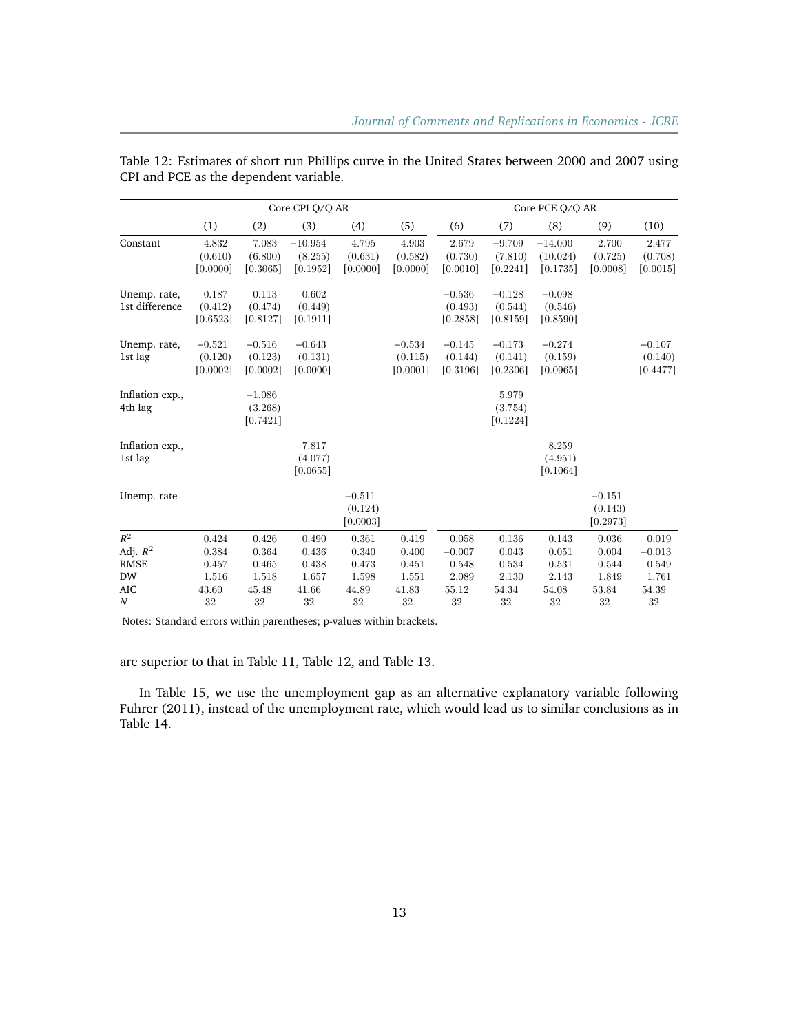|                                |                                 |                                 | Core CPI Q/Q AR                  |                                 |                                 | Core PCE Q/Q AR                 |                                 |                                   |                                 |                                 |
|--------------------------------|---------------------------------|---------------------------------|----------------------------------|---------------------------------|---------------------------------|---------------------------------|---------------------------------|-----------------------------------|---------------------------------|---------------------------------|
|                                | (1)                             | (2)                             | (3)                              | (4)                             | (5)                             | (6)                             | (7)                             | (8)                               | (9)                             | (10)                            |
| Constant                       | 4.832<br>(0.610)<br>[0.0000]    | 7.083<br>(6.800)<br>[0.3065]    | $-10.954$<br>(8.255)<br>[0.1952] | 4.795<br>(0.631)<br>[0.0000]    | 4.903<br>(0.582)<br>[0.0000]    | 2.679<br>(0.730)<br>[0.0010]    | $-9.709$<br>(7.810)<br>[0.2241] | $-14.000$<br>(10.024)<br>[0.1735] | 2.700<br>(0.725)<br>[0.0008]    | 2.477<br>(0.708)<br>[0.0015]    |
| Unemp. rate,<br>1st difference | 0.187<br>(0.412)<br>[0.6523]    | 0.113<br>(0.474)<br>[0.8127]    | 0.602<br>(0.449)<br>[0.1911]     |                                 |                                 | $-0.536$<br>(0.493)<br>[0.2858] | $-0.128$<br>(0.544)<br>[0.8159] | $-0.098$<br>(0.546)<br>[0.8590]   |                                 |                                 |
| Unemp. rate,<br>1st lag        | $-0.521$<br>(0.120)<br>[0.0002] | $-0.516$<br>(0.123)<br>[0.0002] | $-0.643$<br>(0.131)<br>[0.0000]  |                                 | $-0.534$<br>(0.115)<br>[0.0001] | $-0.145$<br>(0.144)<br>[0.3196] | $-0.173$<br>(0.141)<br>[0.2306] | $-0.274$<br>(0.159)<br>[0.0965]   |                                 | $-0.107$<br>(0.140)<br>[0.4477] |
| Inflation exp.,<br>4th lag     |                                 | $-1.086$<br>(3.268)<br>[0.7421] |                                  |                                 |                                 |                                 | 5.979<br>(3.754)<br>[0.1224]    |                                   |                                 |                                 |
| Inflation exp.,<br>1st lag     |                                 |                                 | 7.817<br>(4.077)<br>[0.0655]     |                                 |                                 |                                 |                                 | 8.259<br>(4.951)<br>[0.1064]      |                                 |                                 |
| Unemp. rate                    |                                 |                                 |                                  | $-0.511$<br>(0.124)<br>[0.0003] |                                 |                                 |                                 |                                   | $-0.151$<br>(0.143)<br>[0.2973] |                                 |
| $R^2$                          | 0.424                           | 0.426                           | 0.490                            | 0.361                           | 0.419                           | 0.058                           | 0.136                           | 0.143                             | 0.036                           | 0.019                           |
| Adj. $R^2$                     | 0.384                           | 0.364                           | 0.436                            | 0.340                           | 0.400                           | $-0.007$                        | 0.043                           | 0.051                             | 0.004                           | $-0.013$                        |
| <b>RMSE</b>                    | 0.457                           | 0.465                           | 0.438                            | 0.473                           | 0.451                           | 0.548                           | 0.534                           | 0.531                             | 0.544                           | 0.549                           |
| <b>DW</b>                      | 1.516                           | 1.518                           | 1.657                            | 1.598                           | 1.551                           | 2.089                           | 2.130                           | 2.143                             | 1.849                           | 1.761                           |
| <b>AIC</b>                     | 43.60                           | 45.48                           | 41.66                            | 44.89                           | 41.83                           | 55.12                           | 54.34                           | $54.08\,$                         | 53.84                           | 54.39                           |
| $\boldsymbol{N}$               | $32\,$                          | $32\,$                          | 32                               | 32                              | $32\,$                          | 32                              | 32                              | 32                                | $32\,$                          | $32\,$                          |

Table 12: Estimates of short run Phillips curve in the United States between 2000 and 2007 using CPI and PCE as the dependent variable.

Notes: Standard errors within parentheses; p-values within brackets.

are superior to that in Table 11, Table 12, and Table 13.

In Table 15, we use the unemployment gap as an alternative explanatory variable following Fuhrer (2011), instead of the unemployment rate, which would lead us to similar conclusions as in Table 14.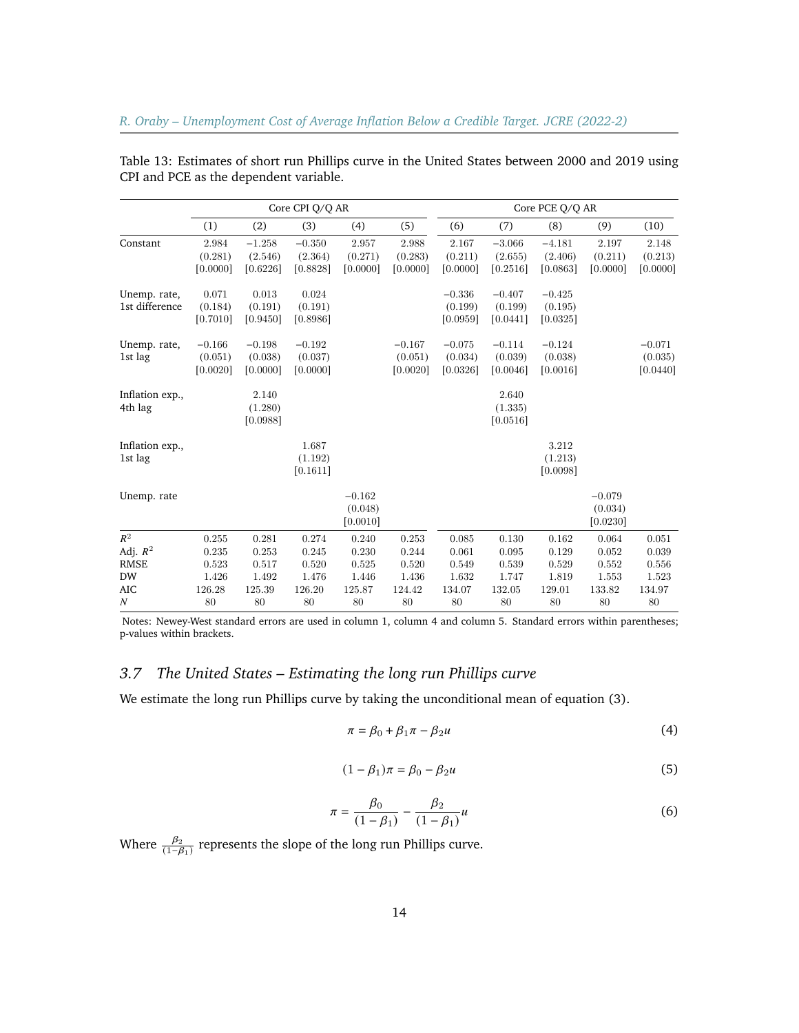|                                | Core CPI Q/Q AR                 |                                 |                                 |                                 | Core PCE O/O AR                 |                                 |                                 |                                 |                                 |                                 |
|--------------------------------|---------------------------------|---------------------------------|---------------------------------|---------------------------------|---------------------------------|---------------------------------|---------------------------------|---------------------------------|---------------------------------|---------------------------------|
|                                | (1)                             | (2)                             | (3)                             | (4)                             | (5)                             | (6)                             | (7)                             | (8)                             | (9)                             | (10)                            |
| Constant                       | 2.984<br>(0.281)<br>[0.0000]    | $-1.258$<br>(2.546)<br>[0.6226] | $-0.350$<br>(2.364)<br>[0.8828] | 2.957<br>(0.271)<br>[0.0000]    | 2.988<br>(0.283)<br>[0.0000]    | 2.167<br>(0.211)<br>[0.0000]    | $-3.066$<br>(2.655)<br>[0.2516] | $-4.181$<br>(2.406)<br>[0.0863] | 2.197<br>(0.211)<br>[0.0000]    | 2.148<br>(0.213)<br>[0.0000]    |
| Unemp. rate,<br>1st difference | 0.071<br>(0.184)<br>[0.7010]    | 0.013<br>(0.191)<br>[0.9450]    | 0.024<br>(0.191)<br>[0.8986]    |                                 |                                 | $-0.336$<br>(0.199)<br>[0.0959] | $-0.407$<br>(0.199)<br>[0.0441] | $-0.425$<br>(0.195)<br>[0.0325] |                                 |                                 |
| Unemp. rate,<br>1st lag        | $-0.166$<br>(0.051)<br>[0.0020] | $-0.198$<br>(0.038)<br>[0.0000] | $-0.192$<br>(0.037)<br>[0.0000] |                                 | $-0.167$<br>(0.051)<br>[0.0020] | $-0.075$<br>(0.034)<br>[0.0326] | $-0.114$<br>(0.039)<br>[0.0046] | $-0.124$<br>(0.038)<br>[0.0016] |                                 | $-0.071$<br>(0.035)<br>[0.0440] |
| Inflation exp.,<br>4th lag     |                                 | 2.140<br>(1.280)<br>[0.0988]    |                                 |                                 |                                 |                                 | 2.640<br>(1.335)<br>[0.0516]    |                                 |                                 |                                 |
| Inflation exp.,<br>1st lag     |                                 |                                 | 1.687<br>(1.192)<br>[0.1611]    |                                 |                                 |                                 |                                 | 3.212<br>(1.213)<br>[0.0098]    |                                 |                                 |
| Unemp. rate                    |                                 |                                 |                                 | $-0.162$<br>(0.048)<br>[0.0010] |                                 |                                 |                                 |                                 | $-0.079$<br>(0.034)<br>[0.0230] |                                 |
| $R^2$                          | 0.255                           | 0.281                           | 0.274                           | 0.240                           | 0.253                           | 0.085                           | 0.130                           | 0.162                           | 0.064                           | 0.051                           |
| Adj. $R^2$                     | 0.235                           | 0.253                           | 0.245                           | 0.230                           | 0.244                           | 0.061                           | 0.095                           | 0.129                           | 0.052                           | 0.039                           |
| <b>RMSE</b>                    | 0.523                           | 0.517                           | 0.520                           | 0.525                           | 0.520                           | 0.549                           | 0.539                           | 0.529                           | 0.552                           | 0.556                           |
| <b>DW</b><br><b>AIC</b>        | 1.426<br>126.28                 | 1.492<br>125.39                 | 1.476<br>126.20                 | 1.446<br>125.87                 | 1.436<br>124.42                 | 1.632<br>134.07                 | 1.747<br>132.05                 | 1.819<br>129.01                 | 1.553<br>133.82                 | 1.523<br>134.97                 |
| $\boldsymbol{N}$               | 80                              | 80                              | 80                              | 80                              | 80                              | 80                              | 80                              | 80                              | 80                              | 80                              |

Table 13: Estimates of short run Phillips curve in the United States between 2000 and 2019 using CPI and PCE as the dependent variable.

Notes: Newey-West standard errors are used in column 1, column 4 and column 5. Standard errors within parentheses; p-values within brackets.

# *3.7 The United States – Estimating the long run Phillips curve*

We estimate the long run Phillips curve by taking the unconditional mean of equation (3).

$$
\pi = \beta_0 + \beta_1 \pi - \beta_2 u \tag{4}
$$

$$
(1 - \beta_1)\pi = \beta_0 - \beta_2 u \tag{5}
$$

$$
\pi = \frac{\beta_0}{(1 - \beta_1)} - \frac{\beta_2}{(1 - \beta_1)} u \tag{6}
$$

Where  $\frac{\beta_2}{(1-\beta_1)}$  represents the slope of the long run Phillips curve.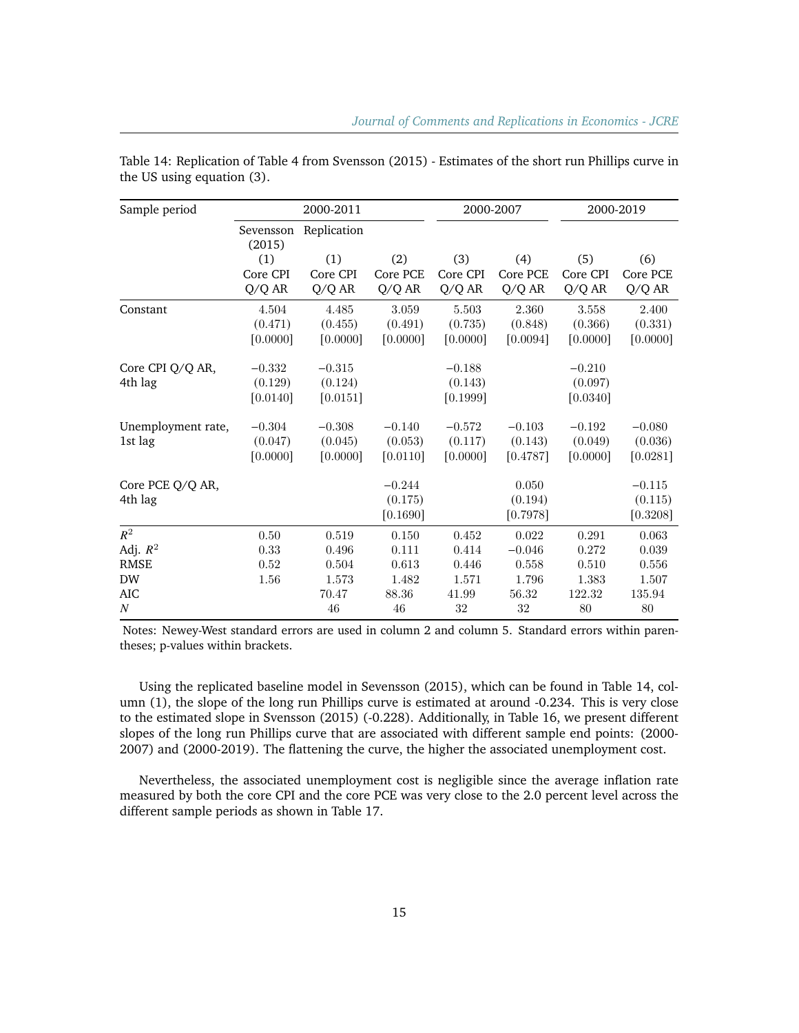| Sample period      |                     | 2000-2011   |           |           | 2000-2007 | 2000-2019 |             |
|--------------------|---------------------|-------------|-----------|-----------|-----------|-----------|-------------|
|                    | Sevensson<br>(2015) | Replication |           |           |           |           |             |
|                    | (1)                 | (1)         | (2)       | (3)       | (4)       | (5)       | (6)         |
|                    | Core CPI            | Core CPI    | Core PCE  | Core CPI  | Core PCE  | Core CPI  | Core PCE    |
|                    | Q/Q AR              | Q/Q AR      | Q/Q AR    | Q/Q AR    | Q/Q AR    | Q/Q AR    | Q/Q AR      |
| Constant           | $4.504\,$           | 4.485       | $3.059\,$ | $5.503\,$ | 2.360     | $3.558\,$ | 2.400       |
|                    | (0.471)             | (0.455)     | (0.491)   | (0.735)   | (0.848)   | (0.366)   | (0.331)     |
|                    | [0.0000]            | [0.0000]    | [0.0000]  | [0.0000]  | [0.0094]  | [0.0000]  | [0.0000]    |
| Core CPI Q/Q AR,   | $-0.332$            | $-0.315$    |           | $-0.188$  |           | $-0.210$  |             |
| 4th lag            | (0.129)             | (0.124)     |           | (0.143)   |           | (0.097)   |             |
|                    | [0.0140]            | [0.0151]    |           | [0.1999]  |           | [0.0340]  |             |
| Unemployment rate, | $-0.304$            | $-0.308$    | $-0.140$  | $-0.572$  | $-0.103$  | $-0.192$  | $-0.080$    |
| 1st lag            | (0.047)             | (0.045)     | (0.053)   | (0.117)   | (0.143)   | (0.049)   | (0.036)     |
|                    | [0.0000]            | [0.0000]    | [0.0110]  | [0.0000]  | [0.4787]  | [0.0000]  | [0.0281]    |
| Core PCE Q/Q AR,   |                     |             | $-0.244$  |           | 0.050     |           | $-0.115$    |
| 4th lag            |                     |             | (0.175)   |           | (0.194)   |           | (0.115)     |
|                    |                     |             | [0.1690]  |           | [0.7978]  |           | [0.3208]    |
| $R^2$              | 0.50                | 0.519       | 0.150     | 0.452     | 0.022     | 0.291     | $\,0.063\,$ |
| Adj. $R^2$         | 0.33                | 0.496       | 0.111     | 0.414     | $-0.046$  | 0.272     | 0.039       |
| <b>RMSE</b>        | 0.52                | 0.504       | 0.613     | 0.446     | 0.558     | 0.510     | 0.556       |
| <b>DW</b>          | 1.56                | 1.573       | 1.482     | 1.571     | 1.796     | 1.383     | 1.507       |
| <b>AIC</b>         |                     | 70.47       | 88.36     | 41.99     | 56.32     | 122.32    | 135.94      |
| $\boldsymbol{N}$   |                     | 46          | 46        | 32        | 32        | 80        | $80\,$      |

Table 14: Replication of Table 4 from Svensson (2015) - Estimates of the short run Phillips curve in the US using equation (3).

Notes: Newey-West standard errors are used in column 2 and column 5. Standard errors within parentheses; p-values within brackets.

Using the replicated baseline model in Sevensson (2015), which can be found in Table 14, column (1), the slope of the long run Phillips curve is estimated at around -0.234. This is very close to the estimated slope in Svensson (2015) (-0.228). Additionally, in Table 16, we present different slopes of the long run Phillips curve that are associated with different sample end points: (2000- 2007) and (2000-2019). The flattening the curve, the higher the associated unemployment cost.

Nevertheless, the associated unemployment cost is negligible since the average inflation rate measured by both the core CPI and the core PCE was very close to the 2.0 percent level across the different sample periods as shown in Table 17.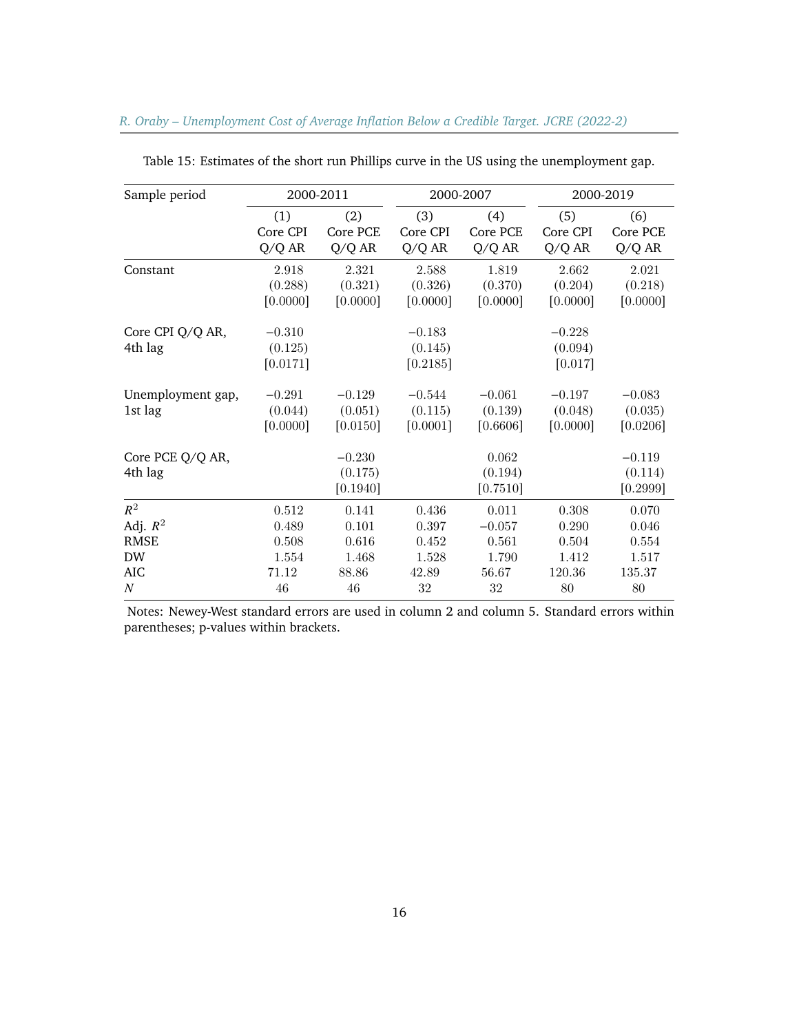| Sample period                |                                 | 2000-2011                       |                                 | 2000-2007                       |                                 | 2000-2019                       |  |
|------------------------------|---------------------------------|---------------------------------|---------------------------------|---------------------------------|---------------------------------|---------------------------------|--|
|                              | (1)                             | (2)                             | (3)                             | (4)                             | (5)                             | (6)                             |  |
|                              | Core CPI                        | Core PCE                        | Core CPI                        | Core PCE                        | Core CPI                        | Core PCE                        |  |
|                              | Q/Q AR                          | Q/Q AR                          | Q/Q AR                          | Q/Q AR                          | Q/Q AR                          | Q/Q AR                          |  |
| Constant                     | 2.918                           | 2.321                           | 2.588                           | 1.819                           | 2.662                           | 2.021                           |  |
|                              | (0.288)                         | (0.321)                         | (0.326)                         | (0.370)                         | (0.204)                         | (0.218)                         |  |
|                              | [0.0000]                        | [0.0000]                        | [0.0000]                        | [0.0000]                        | [0.0000]                        | [0.0000]                        |  |
| Core CPI Q/Q AR,<br>4th lag  | $-0.310$<br>(0.125)<br>[0.0171] |                                 | $-0.183$<br>(0.145)<br>[0.2185] |                                 | $-0.228$<br>(0.094)<br>[0.017]  |                                 |  |
| Unemployment gap,<br>1st lag | $-0.291$<br>(0.044)<br>[0.0000] | $-0.129$<br>(0.051)<br>[0.0150] | $-0.544$<br>(0.115)<br>[0.0001] | $-0.061$<br>(0.139)<br>[0.6606] | $-0.197$<br>(0.048)<br>[0.0000] | $-0.083$<br>(0.035)<br>[0.0206] |  |
| Core PCE Q/Q AR,<br>4th lag  |                                 | $-0.230$<br>(0.175)<br>[0.1940] |                                 | 0.062<br>(0.194)<br>[0.7510]    |                                 | $-0.119$<br>(0.114)<br>[0.2999] |  |
| $R^2$                        | 0.512                           | 0.141                           | 0.436                           | 0.011                           | 0.308                           | 0.070                           |  |
| Adj. $R^2$                   | 0.489                           | 0.101                           | 0.397                           | $-0.057$                        | 0.290                           | 0.046                           |  |
| <b>RMSE</b>                  | 0.508                           | 0.616                           | 0.452                           | 0.561                           | 0.504                           | 0.554                           |  |
| DW                           | 1.554                           | 1.468                           | 1.528                           | 1.790                           | 1.412                           | 1.517                           |  |
| AIC                          | 71.12                           | 88.86                           | 42.89                           | 56.67                           | 120.36                          | 135.37                          |  |
| $\cal N$                     | $46\,$                          | $46\,$                          | 32                              | 32                              | 80                              | $80\,$                          |  |

Table 15: Estimates of the short run Phillips curve in the US using the unemployment gap.

Notes: Newey-West standard errors are used in column 2 and column 5. Standard errors within parentheses; p-values within brackets.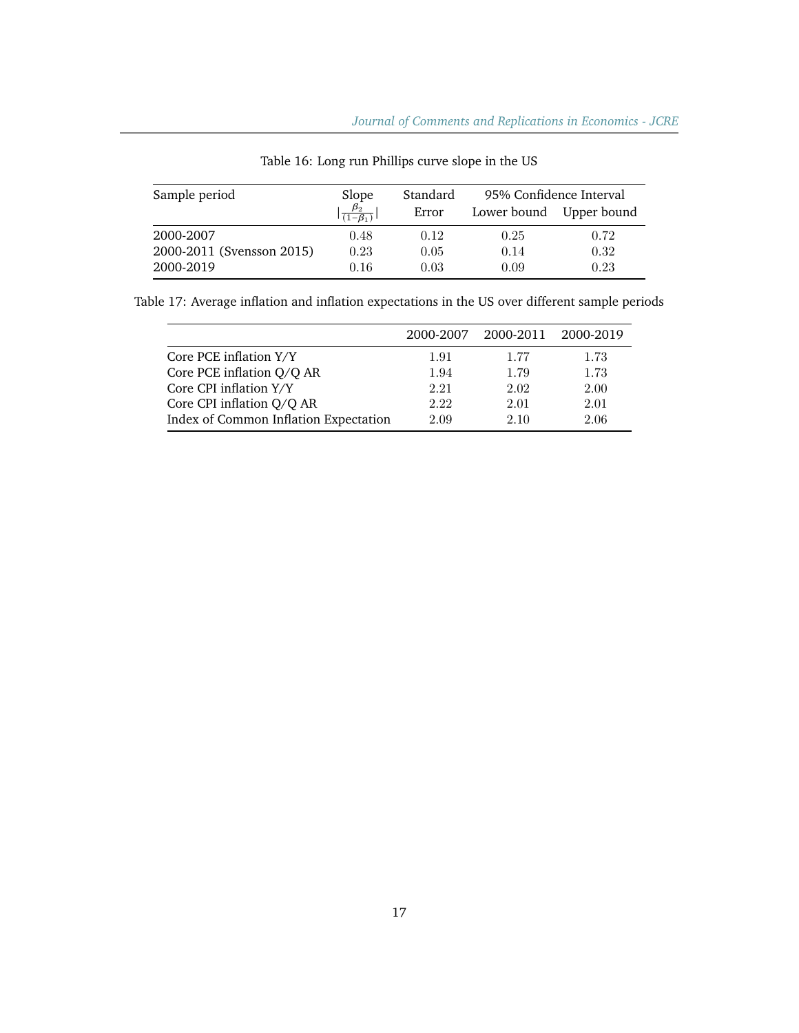| Sample period             | Slope<br>$\beta_2$<br>$\overline{(1-\beta_1)}$ | Standard<br>Error |      | 95% Confidence Interval<br>Lower bound Upper bound |  |
|---------------------------|------------------------------------------------|-------------------|------|----------------------------------------------------|--|
| 2000-2007                 | 0.48                                           | 0.12              | 0.25 | 0.72                                               |  |
| 2000-2011 (Svensson 2015) | 0.23                                           | 0.05              | 0.14 | 0.32                                               |  |
| 2000-2019                 | 0.16                                           | 0.03              | 0.09 | 0.23                                               |  |

Table 16: Long run Phillips curve slope in the US

| Table 17: Average inflation and inflation expectations in the US over different sample periods |  |  |  |  |
|------------------------------------------------------------------------------------------------|--|--|--|--|
|                                                                                                |  |  |  |  |

|                                       | 2000-2007 | 2000-2011 2000-2019 |      |
|---------------------------------------|-----------|---------------------|------|
| Core PCE inflation Y/Y                | 1.91      | 1.77                | 1.73 |
| Core PCE inflation Q/Q AR             | 1.94      | 1.79                | 1.73 |
| Core CPI inflation Y/Y                | 2.21      | 2.02                | 2.00 |
| Core CPI inflation Q/Q AR             | 2.22      | 2.01                | 2.01 |
| Index of Common Inflation Expectation | 2.09      | 2.10                | 2.06 |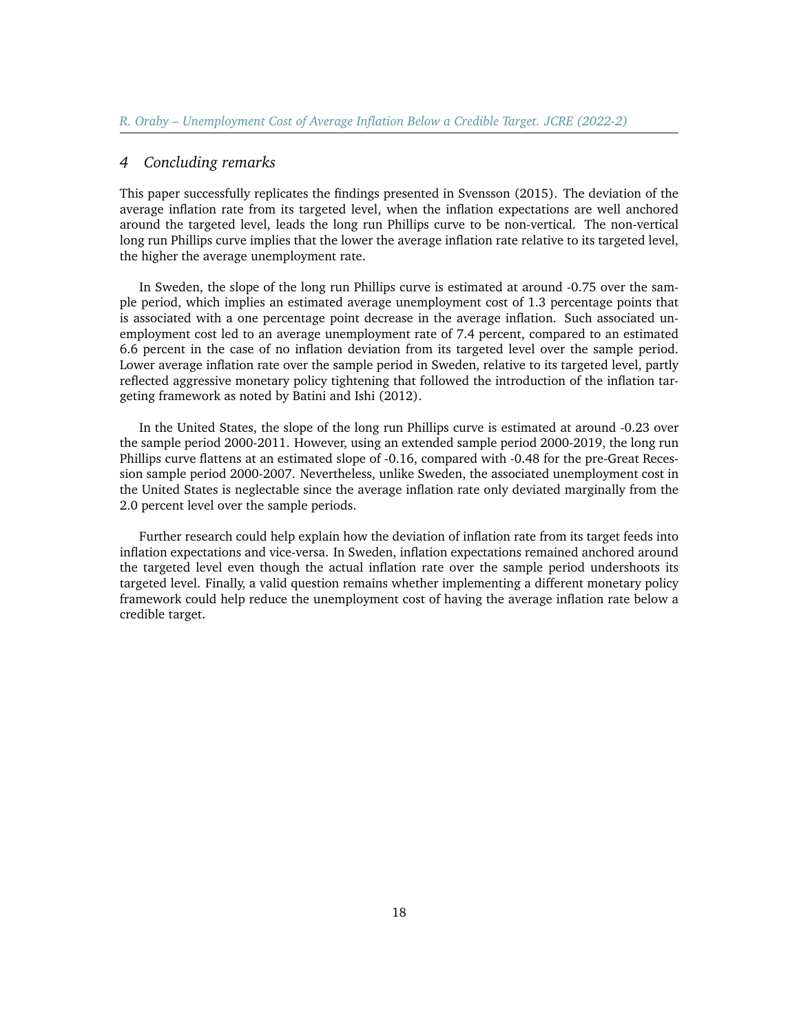#### *4 Concluding remarks*

This paper successfully replicates the findings presented in Svensson (2015). The deviation of the average inflation rate from its targeted level, when the inflation expectations are well anchored around the targeted level, leads the long run Phillips curve to be non-vertical. The non-vertical long run Phillips curve implies that the lower the average inflation rate relative to its targeted level, the higher the average unemployment rate.

In Sweden, the slope of the long run Phillips curve is estimated at around -0.75 over the sample period, which implies an estimated average unemployment cost of 1.3 percentage points that is associated with a one percentage point decrease in the average inflation. Such associated unemployment cost led to an average unemployment rate of 7.4 percent, compared to an estimated 6.6 percent in the case of no inflation deviation from its targeted level over the sample period. Lower average inflation rate over the sample period in Sweden, relative to its targeted level, partly reflected aggressive monetary policy tightening that followed the introduction of the inflation targeting framework as noted by Batini and Ishi (2012).

In the United States, the slope of the long run Phillips curve is estimated at around -0.23 over the sample period 2000-2011. However, using an extended sample period 2000-2019, the long run Phillips curve flattens at an estimated slope of -0.16, compared with -0.48 for the pre-Great Recession sample period 2000-2007. Nevertheless, unlike Sweden, the associated unemployment cost in the United States is neglectable since the average inflation rate only deviated marginally from the 2.0 percent level over the sample periods.

Further research could help explain how the deviation of inflation rate from its target feeds into inflation expectations and vice-versa. In Sweden, inflation expectations remained anchored around the targeted level even though the actual inflation rate over the sample period undershoots its targeted level. Finally, a valid question remains whether implementing a different monetary policy framework could help reduce the unemployment cost of having the average inflation rate below a credible target.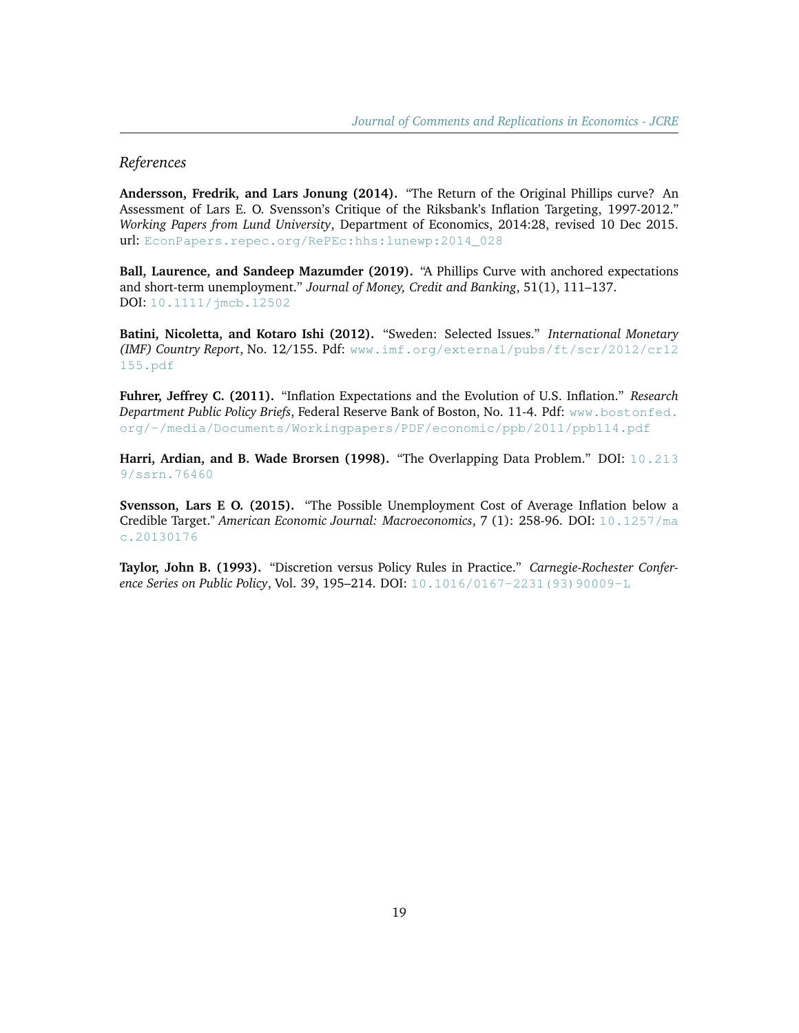## *References*

**Andersson, Fredrik, and Lars Jonung (2014).** "The Return of the Original Phillips curve? An Assessment of Lars E. O. Svensson's Critique of the Riksbank's Inflation Targeting, 1997-2012." *Working Papers from Lund University*, Department of Economics, 2014:28, revised 10 Dec 2015. url: EconPapers.repec.org/RePEc:hhs: lunewp: 2014 028

**Ball, Laurence, and Sandeep Mazumder (2019).** "A Phillips Curve with anchored expectations and short-term unemployment." *Journal of Money, Credit and Banking*, 51(1), 111–137. DOI: [10.1111/jmcb.12502](https://doi.org/10.1111/jmcb.12502)

**Batini, Nicoletta, and Kotaro Ishi (2012).** "Sweden: Selected Issues." *International Monetary (IMF) Country Report*, No. 12/155. Pdf: [www.imf.org/external/pubs/ft/scr/2012/cr12](https://www.imf.org/external/pubs/ft/scr/2012/cr12155.pdf) [155.pdf](https://www.imf.org/external/pubs/ft/scr/2012/cr12155.pdf)

**Fuhrer, Jeffrey C. (2011).** "Inflation Expectations and the Evolution of U.S. Inflation." *Research Department Public Policy Briefs*, Federal Reserve Bank of Boston, No. 11-4. Pdf: [www.bostonfed.](https://www.bostonfed.org/-/media/Documents/Workingpapers/PDF/economic/ppb/2011/ppb114.pdf) [org/-/media/Documents/Workingpapers/PDF/economic/ppb/2011/ppb114.pdf](https://www.bostonfed.org/-/media/Documents/Workingpapers/PDF/economic/ppb/2011/ppb114.pdf)

**Harri, Ardian, and B. Wade Brorsen (1998).** "The Overlapping Data Problem." DOI: [10.213](https://dx.doi.org/10.2139/ssrn.76460) [9/ssrn.76460](https://dx.doi.org/10.2139/ssrn.76460)

**Svensson, Lars E O. (2015).** "The Possible Unemployment Cost of Average Inflation below a Credible Target." *American Economic Journal: Macroeconomics*, 7 (1): 258-96. DOI: [10.1257/ma](http://dx.doi.org/10.1257/mac.20130176) [c.20130176](http://dx.doi.org/10.1257/mac.20130176)

**Taylor, John B. (1993).** "Discretion versus Policy Rules in Practice." *Carnegie-Rochester Conference Series on Public Policy*, Vol. 39, 195–214. DOI: [10.1016/0167-2231\(93\)90009-L](https://doi.org/10.1016/0167-2231(93)90009-L)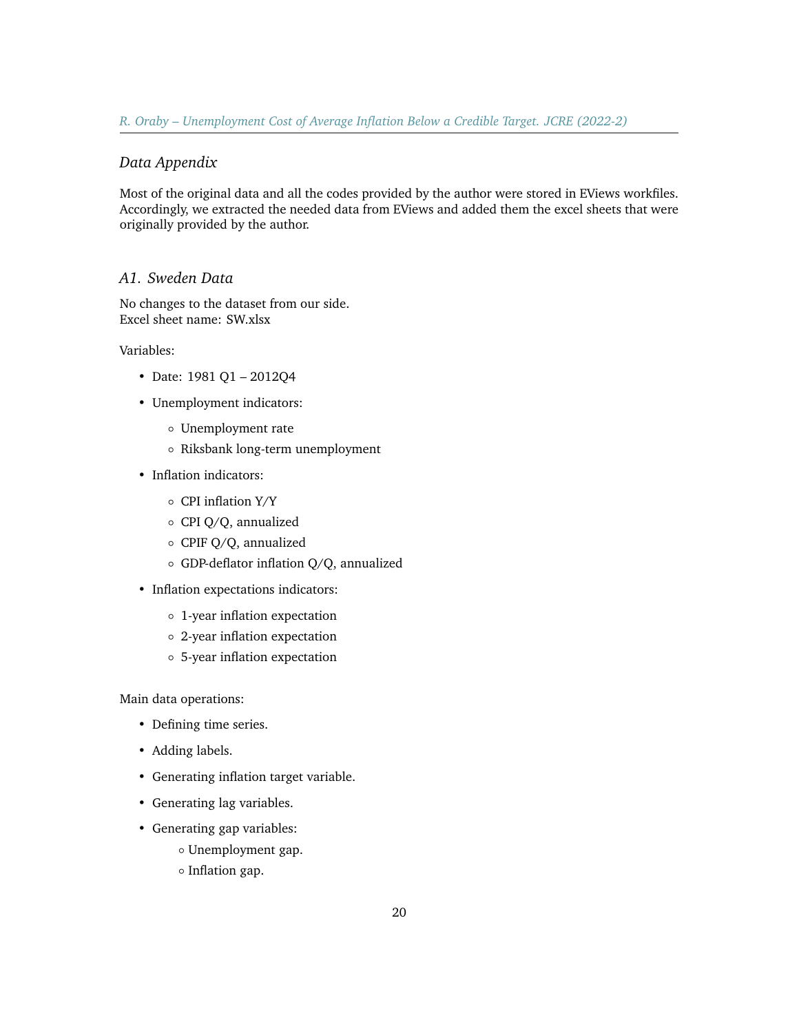## *Data Appendix*

Most of the original data and all the codes provided by the author were stored in EViews workfiles. Accordingly, we extracted the needed data from EViews and added them the excel sheets that were originally provided by the author.

#### *A1. Sweden Data*

No changes to the dataset from our side. Excel sheet name: SW.xlsx

Variables:

- Date: 1981 Q1 2012Q4
- Unemployment indicators:
	- Unemployment rate
	- Riksbank long-term unemployment
- Inflation indicators:
	- CPI inflation Y/Y
	- CPI Q/Q, annualized
	- CPIF Q/Q, annualized
	- GDP-deflator inflation Q/Q, annualized
- Inflation expectations indicators:
	- 1-year inflation expectation
	- 2-year inflation expectation
	- 5-year inflation expectation

Main data operations:

- Defining time series.
- Adding labels.
- Generating inflation target variable.
- Generating lag variables.
- Generating gap variables:
	- Unemployment gap.
	- Inflation gap.